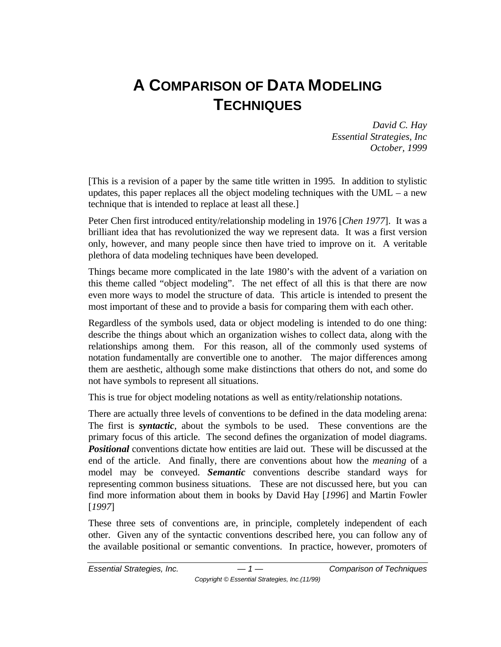# **A COMPARISON OF DATA MODELING TECHNIQUES**

*David C. Hay Essential Strategies, Inc October, 1999*

[This is a revision of a paper by the same title written in 1995. In addition to stylistic updates, this paper replaces all the object modeling techniques with the  $UML - a$  new technique that is intended to replace at least all these.]

Peter Chen first introduced entity/relationship modeling in 1976 [*Chen 1977*]. It was a brilliant idea that has revolutionized the way we represent data. It was a first version only, however, and many people since then have tried to improve on it. A veritable plethora of data modeling techniques have been developed.

Things became more complicated in the late 1980's with the advent of a variation on this theme called "object modeling". The net effect of all this is that there are now even more ways to model the structure of data. This article is intended to present the most important of these and to provide a basis for comparing them with each other.

Regardless of the symbols used, data or object modeling is intended to do one thing: describe the things about which an organization wishes to collect data, along with the relationships among them. For this reason, all of the commonly used systems of notation fundamentally are convertible one to another. The major differences among them are aesthetic, although some make distinctions that others do not, and some do not have symbols to represent all situations.

This is true for object modeling notations as well as entity/relationship notations.

There are actually three levels of conventions to be defined in the data modeling arena: The first is *syntactic*, about the symbols to be used. These conventions are the primary focus of this article. The second defines the organization of model diagrams. *Positional* conventions dictate how entities are laid out. These will be discussed at the end of the article. And finally, there are conventions about how the *meaning* of a model may be conveyed. *Semantic* conventions describe standard ways for representing common business situations. These are not discussed here, but you can find more information about them in books by David Hay [*1996*] and Martin Fowler [*1997*]

These three sets of conventions are, in principle, completely independent of each other. Given any of the syntactic conventions described here, you can follow any of the available positional or semantic conventions. In practice, however, promoters of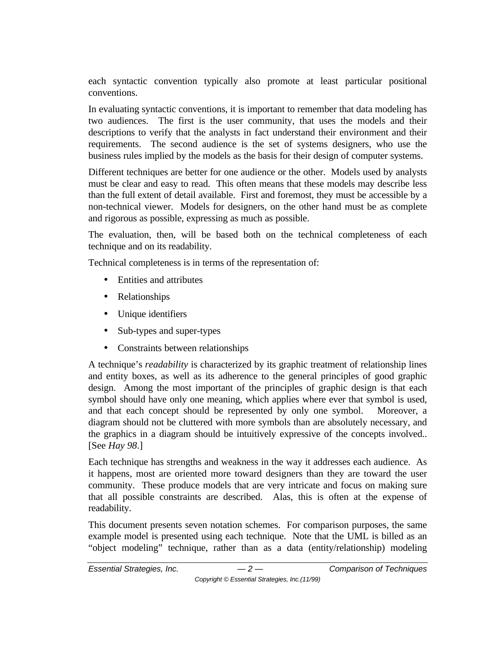each syntactic convention typically also promote at least particular positional conventions.

In evaluating syntactic conventions, it is important to remember that data modeling has two audiences. The first is the user community, that uses the models and their descriptions to verify that the analysts in fact understand their environment and their requirements. The second audience is the set of systems designers, who use the business rules implied by the models as the basis for their design of computer systems.

Different techniques are better for one audience or the other. Models used by analysts must be clear and easy to read. This often means that these models may describe less than the full extent of detail available. First and foremost, they must be accessible by a non-technical viewer. Models for designers, on the other hand must be as complete and rigorous as possible, expressing as much as possible.

The evaluation, then, will be based both on the technical completeness of each technique and on its readability.

Technical completeness is in terms of the representation of:

- Entities and attributes
- Relationships
- Unique identifiers
- Sub-types and super-types
- Constraints between relationships

A technique's *readability* is characterized by its graphic treatment of relationship lines and entity boxes, as well as its adherence to the general principles of good graphic design. Among the most important of the principles of graphic design is that each symbol should have only one meaning, which applies where ever that symbol is used, and that each concept should be represented by only one symbol. Moreover, a diagram should not be cluttered with more symbols than are absolutely necessary, and the graphics in a diagram should be intuitively expressive of the concepts involved.. [See *Hay 98*.]

Each technique has strengths and weakness in the way it addresses each audience. As it happens, most are oriented more toward designers than they are toward the user community. These produce models that are very intricate and focus on making sure that all possible constraints are described. Alas, this is often at the expense of readability.

This document presents seven notation schemes. For comparison purposes, the same example model is presented using each technique. Note that the UML is billed as an "object modeling" technique, rather than as a data (entity/relationship) modeling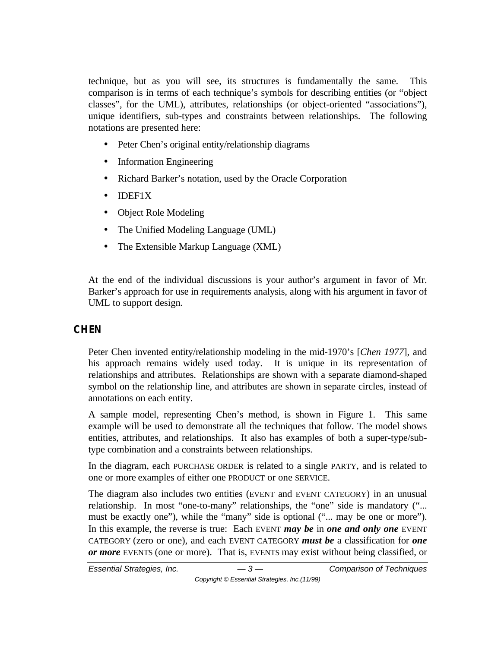technique, but as you will see, its structures is fundamentally the same. This comparison is in terms of each technique's symbols for describing entities (or "object classes", for the UML), attributes, relationships (or object-oriented "associations"), unique identifiers, sub-types and constraints between relationships. The following notations are presented here:

- Peter Chen's original entity/relationship diagrams
- Information Engineering
- Richard Barker's notation, used by the Oracle Corporation
- IDEF1X
- Object Role Modeling
- The Unified Modeling Language (UML)
- The Extensible Markup Language (XML)

At the end of the individual discussions is your author's argument in favor of Mr. Barker's approach for use in requirements analysis, along with his argument in favor of UML to support design.

## **CHEN**

Peter Chen invented entity/relationship modeling in the mid-1970's [*Chen 1977*], and his approach remains widely used today. It is unique in its representation of relationships and attributes. Relationships are shown with a separate diamond-shaped symbol on the relationship line, and attributes are shown in separate circles, instead of annotations on each entity.

A sample model, representing Chen's method, is shown in Figure 1. This same example will be used to demonstrate all the techniques that follow. The model shows entities, attributes, and relationships. It also has examples of both a super-type/subtype combination and a constraints between relationships.

In the diagram, each PURCHASE ORDER is related to a single PARTY, and is related to one or more examples of either one PRODUCT or one SERVICE.

The diagram also includes two entities (EVENT and EVENT CATEGORY) in an unusual relationship. In most "one-to-many" relationships, the "one" side is mandatory ("... must be exactly one"), while the "many" side is optional ("... may be one or more"). In this example, the reverse is true: Each EVENT *may be* in *one and only one* EVENT CATEGORY (zero or one), and each EVENT CATEGORY *must be* a classification for *one or more* EVENTS (one or more). That is, EVENTS may exist without being classified, or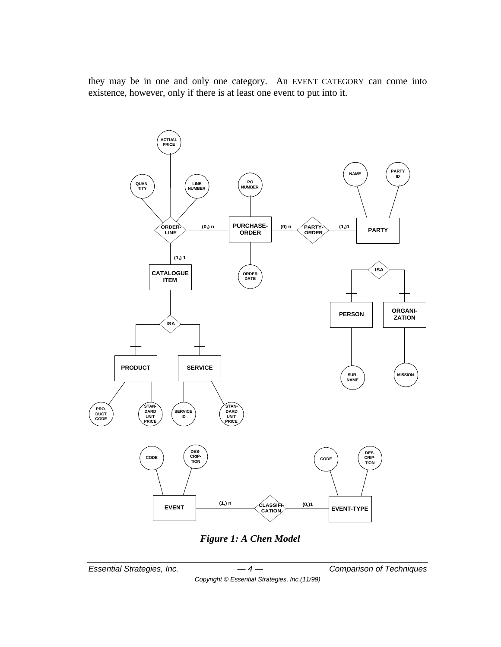they may be in one and only one category. An EVENT CATEGORY can come into existence, however, only if there is at least one event to put into it.



*Figure 1: A Chen Model*

*Essential Strategies, Inc. — 4 — Comparison of Techniques*

*Copyright © Essential Strategies, Inc.(11/99)*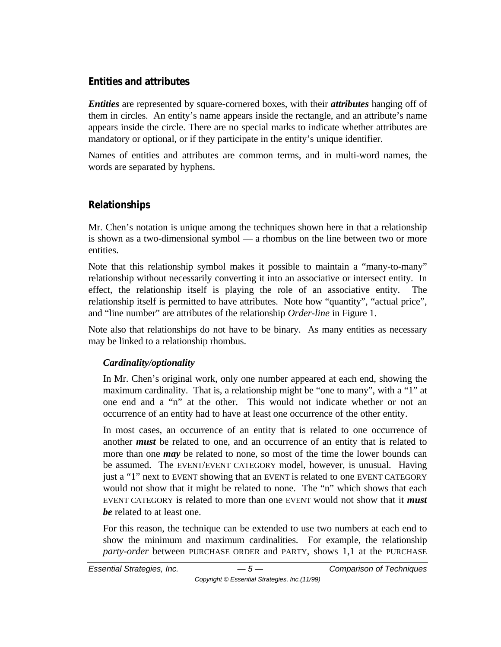## **Entities and attributes**

*Entities* are represented by square-cornered boxes, with their *attributes* hanging off of them in circles. An entity's name appears inside the rectangle, and an attribute's name appears inside the circle. There are no special marks to indicate whether attributes are mandatory or optional, or if they participate in the entity's unique identifier.

Names of entities and attributes are common terms, and in multi-word names, the words are separated by hyphens.

# **Relationships**

Mr. Chen's notation is unique among the techniques shown here in that a relationship is shown as a two-dimensional symbol — a rhombus on the line between two or more entities.

Note that this relationship symbol makes it possible to maintain a "many-to-many" relationship without necessarily converting it into an associative or intersect entity. In effect, the relationship itself is playing the role of an associative entity. The relationship itself is permitted to have attributes. Note how "quantity", "actual price", and "line number" are attributes of the relationship *Order-line* in Figure 1.

Note also that relationships do not have to be binary. As many entities as necessary may be linked to a relationship rhombus.

## *Cardinality/optionality*

In Mr. Chen's original work, only one number appeared at each end, showing the maximum cardinality. That is, a relationship might be "one to many", with a "1" at one end and a "n" at the other. This would not indicate whether or not an occurrence of an entity had to have at least one occurrence of the other entity.

In most cases, an occurrence of an entity that is related to one occurrence of another *must* be related to one, and an occurrence of an entity that is related to more than one *may* be related to none, so most of the time the lower bounds can be assumed. The EVENT/EVENT CATEGORY model, however, is unusual. Having just a "1" next to EVENT showing that an EVENT is related to one EVENT CATEGORY would not show that it might be related to none. The "n" which shows that each EVENT CATEGORY is related to more than one EVENT would not show that it *must be* related to at least one.

For this reason, the technique can be extended to use two numbers at each end to show the minimum and maximum cardinalities. For example, the relationship *party-order* between PURCHASE ORDER and PARTY, shows 1,1 at the PURCHASE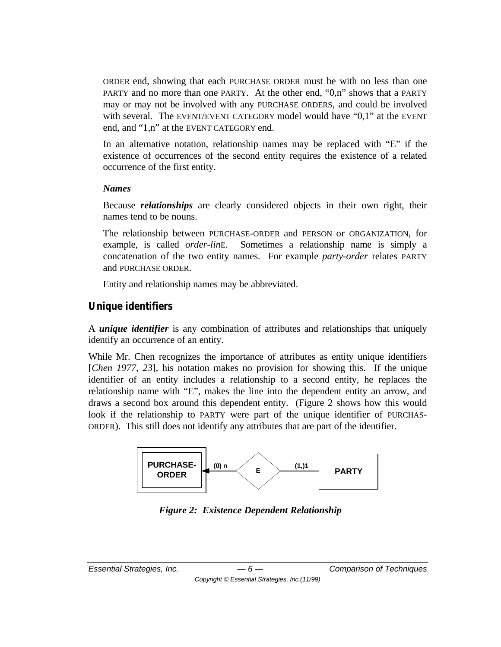ORDER end, showing that each PURCHASE ORDER must be with no less than one PARTY and no more than one PARTY. At the other end, "0,n" shows that a PARTY may or may not be involved with any PURCHASE ORDERS, and could be involved with several. The EVENT/EVENT CATEGORY model would have " $0,1$ " at the EVENT end, and "1,n" at the EVENT CATEGORY end.

In an alternative notation, relationship names may be replaced with "E" if the existence of occurrences of the second entity requires the existence of a related occurrence of the first entity.

#### *Names*

Because *relationships* are clearly considered objects in their own right, their names tend to be nouns.

The relationship between PURCHASE-ORDER and PERSON or ORGANIZATION, for example, is called *order-lin*E. Sometimes a relationship name is simply a concatenation of the two entity names. For example *party-order* relates PARTY and PURCHASE ORDER.

Entity and relationship names may be abbreviated.

## **Unique identifiers**

A *unique identifier* is any combination of attributes and relationships that uniquely identify an occurrence of an entity.

While Mr. Chen recognizes the importance of attributes as entity unique identifiers [*Chen 1977, 23*], his notation makes no provision for showing this. If the unique identifier of an entity includes a relationship to a second entity, he replaces the relationship name with "E", makes the line into the dependent entity an arrow, and draws a second box around this dependent entity. (Figure 2 shows how this would look if the relationship to PARTY were part of the unique identifier of PURCHAS-ORDER). This still does not identify any attributes that are part of the identifier.



*Figure 2: Existence Dependent Relationship*

*Copyright © Essential Strategies, Inc.(11/99)*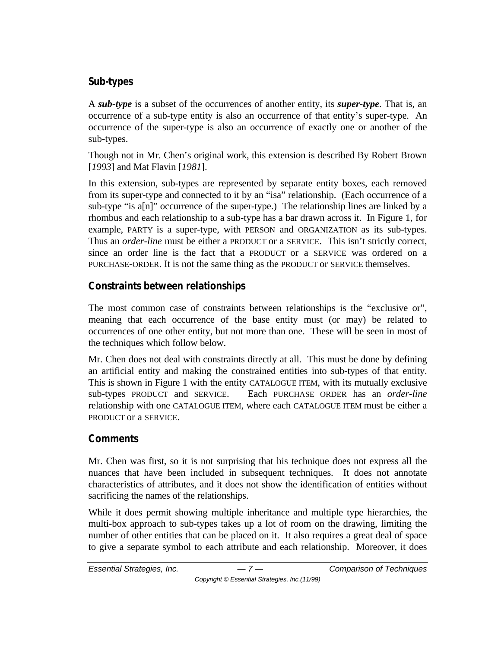### **Sub-types**

A *sub-type* is a subset of the occurrences of another entity, its *super-type*. That is, an occurrence of a sub-type entity is also an occurrence of that entity's super-type. An occurrence of the super-type is also an occurrence of exactly one or another of the sub-types.

Though not in Mr. Chen's original work, this extension is described By Robert Brown [*1993*] and Mat Flavin [*1981*].

In this extension, sub-types are represented by separate entity boxes, each removed from its super-type and connected to it by an "isa" relationship. (Each occurrence of a sub-type "is a[n]" occurrence of the super-type.) The relationship lines are linked by a rhombus and each relationship to a sub-type has a bar drawn across it. In Figure 1, for example, PARTY is a super-type, with PERSON and ORGANIZATION as its sub-types. Thus an *order-line* must be either a PRODUCT or a SERVICE. This isn't strictly correct, since an order line is the fact that a PRODUCT or a SERVICE was ordered on a PURCHASE-ORDER. It is not the same thing as the PRODUCT or SERVICE themselves.

## **Constraints between relationships**

The most common case of constraints between relationships is the "exclusive or", meaning that each occurrence of the base entity must (or may) be related to occurrences of one other entity, but not more than one. These will be seen in most of the techniques which follow below.

Mr. Chen does not deal with constraints directly at all. This must be done by defining an artificial entity and making the constrained entities into sub-types of that entity. This is shown in Figure 1 with the entity CATALOGUE ITEM, with its mutually exclusive sub-types PRODUCT and SERVICE. Each PURCHASE ORDER has an *order-line* relationship with one CATALOGUE ITEM, where each CATALOGUE ITEM must be either a PRODUCT or a SERVICE.

## **Comments**

Mr. Chen was first, so it is not surprising that his technique does not express all the nuances that have been included in subsequent techniques. It does not annotate characteristics of attributes, and it does not show the identification of entities without sacrificing the names of the relationships.

While it does permit showing multiple inheritance and multiple type hierarchies, the multi-box approach to sub-types takes up a lot of room on the drawing, limiting the number of other entities that can be placed on it. It also requires a great deal of space to give a separate symbol to each attribute and each relationship. Moreover, it does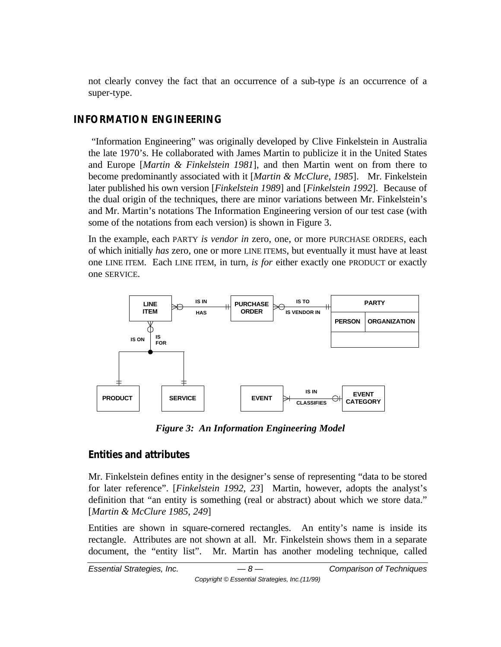not clearly convey the fact that an occurrence of a sub-type *is* an occurrence of a super-type.

## **INFORMATION ENGINEERING**

 "Information Engineering" was originally developed by Clive Finkelstein in Australia the late 1970's. He collaborated with James Martin to publicize it in the United States and Europe [*Martin & Finkelstein 1981*], and then Martin went on from there to become predominantly associated with it [*Martin & McClure, 1985*]. Mr. Finkelstein later published his own version [*Finkelstein 1989*] and [*Finkelstein 1992*]. Because of the dual origin of the techniques, there are minor variations between Mr. Finkelstein's and Mr. Martin's notations The Information Engineering version of our test case (with some of the notations from each version) is shown in Figure 3.

In the example, each PARTY *is vendor in* zero, one, or more PURCHASE ORDERS, each of which initially *has* zero, one or more LINE ITEMS, but eventually it must have at least one LINE ITEM. Each LINE ITEM, in turn, *is for* either exactly one PRODUCT or exactly one SERVICE.



*Figure 3: An Information Engineering Model*

## **Entities and attributes**

Mr. Finkelstein defines entity in the designer's sense of representing "data to be stored for later reference". [*Finkelstein 1992*, *23*] Martin, however, adopts the analyst's definition that "an entity is something (real or abstract) about which we store data." [*Martin & McClure 1985*, *249*]

Entities are shown in square-cornered rectangles. An entity's name is inside its rectangle. Attributes are not shown at all. Mr. Finkelstein shows them in a separate document, the "entity list". Mr. Martin has another modeling technique, called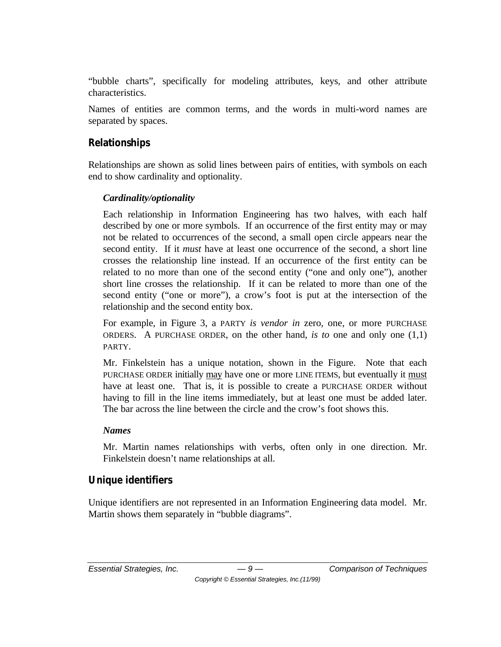"bubble charts", specifically for modeling attributes, keys, and other attribute characteristics.

Names of entities are common terms, and the words in multi-word names are separated by spaces.

# **Relationships**

Relationships are shown as solid lines between pairs of entities, with symbols on each end to show cardinality and optionality.

## *Cardinality/optionality*

Each relationship in Information Engineering has two halves, with each half described by one or more symbols. If an occurrence of the first entity may or may not be related to occurrences of the second, a small open circle appears near the second entity. If it *must* have at least one occurrence of the second, a short line crosses the relationship line instead. If an occurrence of the first entity can be related to no more than one of the second entity ("one and only one"), another short line crosses the relationship. If it can be related to more than one of the second entity ("one or more"), a crow's foot is put at the intersection of the relationship and the second entity box.

For example, in Figure 3, a PARTY *is vendor in* zero, one, or more PURCHASE ORDERS. A PURCHASE ORDER, on the other hand, *is to* one and only one (1,1) PARTY.

Mr. Finkelstein has a unique notation, shown in the Figure. Note that each PURCHASE ORDER initially may have one or more LINE ITEMS, but eventually it must have at least one. That is, it is possible to create a PURCHASE ORDER without having to fill in the line items immediately, but at least one must be added later. The bar across the line between the circle and the crow's foot shows this.

#### *Names*

Mr. Martin names relationships with verbs, often only in one direction. Mr. Finkelstein doesn't name relationships at all.

# **Unique identifiers**

Unique identifiers are not represented in an Information Engineering data model. Mr. Martin shows them separately in "bubble diagrams".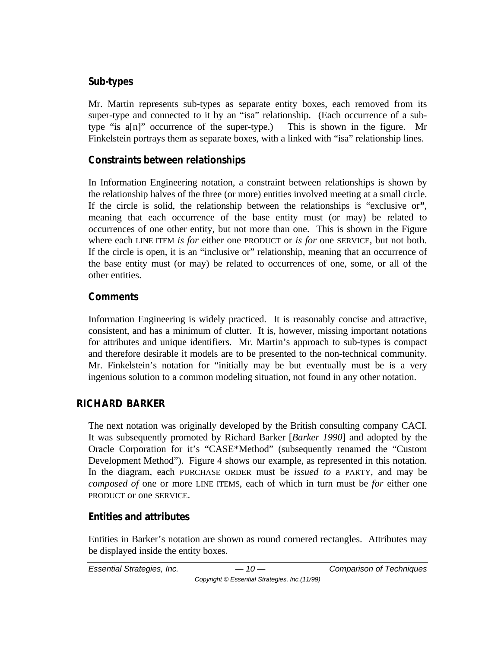## **Sub-types**

Mr. Martin represents sub-types as separate entity boxes, each removed from its super-type and connected to it by an "isa" relationship. (Each occurrence of a subtype "is a[n]" occurrence of the super-type.) This is shown in the figure. Mr Finkelstein portrays them as separate boxes, with a linked with "isa" relationship lines.

# **Constraints between relationships**

In Information Engineering notation, a constraint between relationships is shown by the relationship halves of the three (or more) entities involved meeting at a small circle. If the circle is solid, the relationship between the relationships is "exclusive or*"*, meaning that each occurrence of the base entity must (or may) be related to occurrences of one other entity, but not more than one. This is shown in the Figure where each LINE ITEM *is for* either one PRODUCT or *is for* one SERVICE, but not both. If the circle is open, it is an "inclusive or" relationship, meaning that an occurrence of the base entity must (or may) be related to occurrences of one, some, or all of the other entities.

## **Comments**

Information Engineering is widely practiced. It is reasonably concise and attractive, consistent, and has a minimum of clutter. It is, however, missing important notations for attributes and unique identifiers. Mr. Martin's approach to sub-types is compact and therefore desirable it models are to be presented to the non-technical community. Mr. Finkelstein's notation for "initially may be but eventually must be is a very ingenious solution to a common modeling situation, not found in any other notation.

# **RICHARD BARKER**

The next notation was originally developed by the British consulting company CACI. It was subsequently promoted by Richard Barker [*Barker 1990*] and adopted by the Oracle Corporation for it's "CASE\*Method" (subsequently renamed the "Custom Development Method"). Figure 4 shows our example, as represented in this notation. In the diagram, each PURCHASE ORDER must be *issued to* a PARTY, and may be *composed of* one or more LINE ITEMS, each of which in turn must be *for* either one PRODUCT or one SERVICE.

# **Entities and attributes**

Entities in Barker's notation are shown as round cornered rectangles. Attributes may be displayed inside the entity boxes.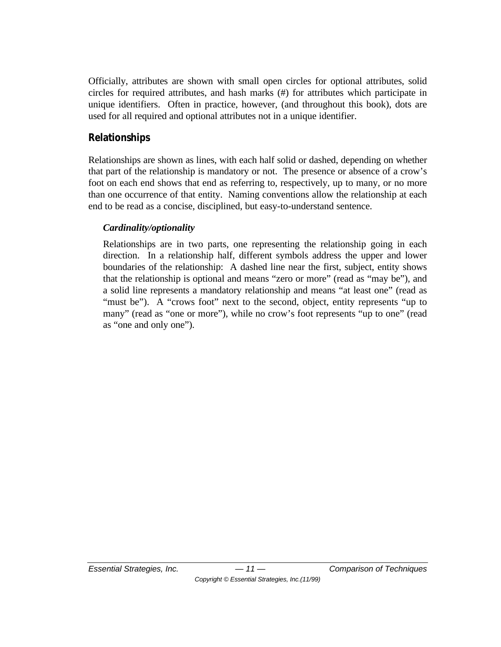Officially, attributes are shown with small open circles for optional attributes, solid circles for required attributes, and hash marks (#) for attributes which participate in unique identifiers. Often in practice, however, (and throughout this book), dots are used for all required and optional attributes not in a unique identifier.

## **Relationships**

Relationships are shown as lines, with each half solid or dashed, depending on whether that part of the relationship is mandatory or not. The presence or absence of a crow's foot on each end shows that end as referring to, respectively, up to many, or no more than one occurrence of that entity. Naming conventions allow the relationship at each end to be read as a concise, disciplined, but easy-to-understand sentence.

## *Cardinality/optionality*

Relationships are in two parts, one representing the relationship going in each direction. In a relationship half, different symbols address the upper and lower boundaries of the relationship: A dashed line near the first, subject, entity shows that the relationship is optional and means "zero or more" (read as "may be"), and a solid line represents a mandatory relationship and means "at least one" (read as "must be"). A "crows foot" next to the second, object, entity represents "up to many" (read as "one or more"), while no crow's foot represents "up to one" (read as "one and only one").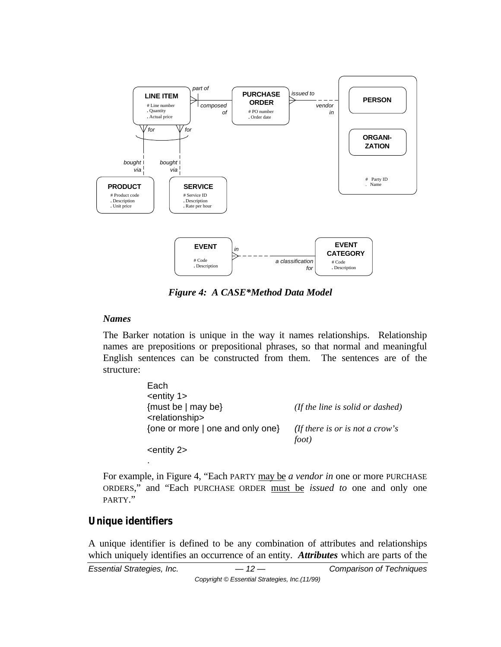

*Figure 4: A CASE\*Method Data Model*

#### *Names*

The Barker notation is unique in the way it names relationships. Relationship names are prepositions or prepositional phrases, so that normal and meaningful English sentences can be constructed from them. The sentences are of the structure:

| Each                                                  |                                                 |
|-------------------------------------------------------|-------------------------------------------------|
| $=$ entity 1>                                         |                                                 |
| {must be $ $ may be}<br><relationship></relationship> | (If the line is solid or dashed)                |
| {one or more   one and only one}                      | <i>(If there is or is not a crow's</i><br>foot) |
| $=$ entity 2 $>$                                      |                                                 |

For example, in Figure 4, "Each PARTY may be *a vendor in* one or more PURCHASE ORDERS," and "Each PURCHASE ORDER must be *issued to* one and only one PARTY."

#### **Unique identifiers**

.

A unique identifier is defined to be any combination of attributes and relationships which uniquely identifies an occurrence of an entity. *Attributes* which are parts of the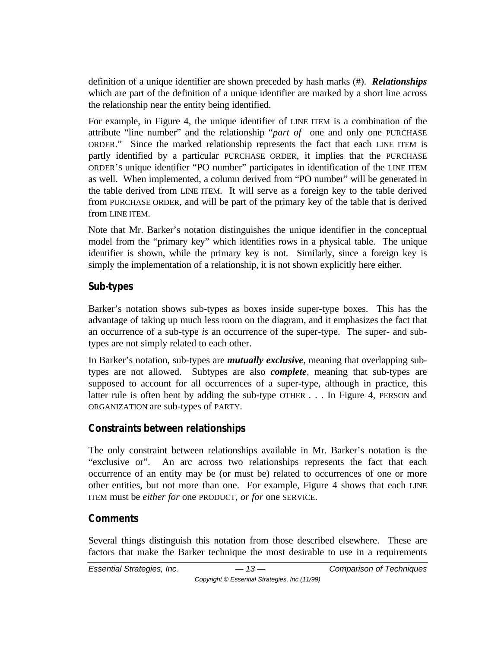definition of a unique identifier are shown preceded by hash marks (#). *Relationships* which are part of the definition of a unique identifier are marked by a short line across the relationship near the entity being identified.

For example, in Figure 4, the unique identifier of LINE ITEM is a combination of the attribute "line number" and the relationship "*part of* one and only one PURCHASE ORDER." Since the marked relationship represents the fact that each LINE ITEM is partly identified by a particular PURCHASE ORDER, it implies that the PURCHASE ORDER'S unique identifier "PO number" participates in identification of the LINE ITEM as well. When implemented, a column derived from "PO number" will be generated in the table derived from LINE ITEM. It will serve as a foreign key to the table derived from PURCHASE ORDER, and will be part of the primary key of the table that is derived from LINE ITEM.

Note that Mr. Barker's notation distinguishes the unique identifier in the conceptual model from the "primary key" which identifies rows in a physical table. The unique identifier is shown, while the primary key is not. Similarly, since a foreign key is simply the implementation of a relationship, it is not shown explicitly here either.

## **Sub-types**

Barker's notation shows sub-types as boxes inside super-type boxes. This has the advantage of taking up much less room on the diagram, and it emphasizes the fact that an occurrence of a sub-type *is* an occurrence of the super-type. The super- and subtypes are not simply related to each other.

In Barker's notation, sub-types are *mutually exclusive*, meaning that overlapping subtypes are not allowed. Subtypes are also *complete*, meaning that sub-types are supposed to account for all occurrences of a super-type, although in practice, this latter rule is often bent by adding the sub-type OTHER . . . In Figure 4, PERSON and ORGANIZATION are sub-types of PARTY.

# **Constraints between relationships**

The only constraint between relationships available in Mr. Barker's notation is the "exclusive or". An arc across two relationships represents the fact that each occurrence of an entity may be (or must be) related to occurrences of one or more other entities, but not more than one. For example, Figure 4 shows that each LINE ITEM must be *either for* one PRODUCT, *or for* one SERVICE.

## **Comments**

Several things distinguish this notation from those described elsewhere. These are factors that make the Barker technique the most desirable to use in a requirements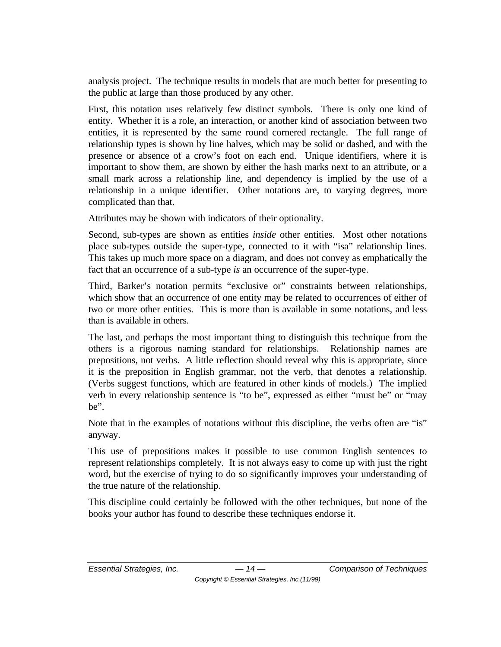analysis project. The technique results in models that are much better for presenting to the public at large than those produced by any other.

First, this notation uses relatively few distinct symbols. There is only one kind of entity. Whether it is a role, an interaction, or another kind of association between two entities, it is represented by the same round cornered rectangle. The full range of relationship types is shown by line halves, which may be solid or dashed, and with the presence or absence of a crow's foot on each end. Unique identifiers, where it is important to show them, are shown by either the hash marks next to an attribute, or a small mark across a relationship line, and dependency is implied by the use of a relationship in a unique identifier. Other notations are, to varying degrees, more complicated than that.

Attributes may be shown with indicators of their optionality.

Second, sub-types are shown as entities *inside* other entities. Most other notations place sub-types outside the super-type, connected to it with "isa" relationship lines. This takes up much more space on a diagram, and does not convey as emphatically the fact that an occurrence of a sub-type *is* an occurrence of the super-type.

Third, Barker's notation permits "exclusive or" constraints between relationships, which show that an occurrence of one entity may be related to occurrences of either of two or more other entities. This is more than is available in some notations, and less than is available in others.

The last, and perhaps the most important thing to distinguish this technique from the others is a rigorous naming standard for relationships. Relationship names are prepositions, not verbs. A little reflection should reveal why this is appropriate, since it is the preposition in English grammar, not the verb, that denotes a relationship. (Verbs suggest functions, which are featured in other kinds of models.) The implied verb in every relationship sentence is "to be", expressed as either "must be" or "may be".

Note that in the examples of notations without this discipline, the verbs often are "is" anyway.

This use of prepositions makes it possible to use common English sentences to represent relationships completely. It is not always easy to come up with just the right word, but the exercise of trying to do so significantly improves your understanding of the true nature of the relationship.

This discipline could certainly be followed with the other techniques, but none of the books your author has found to describe these techniques endorse it.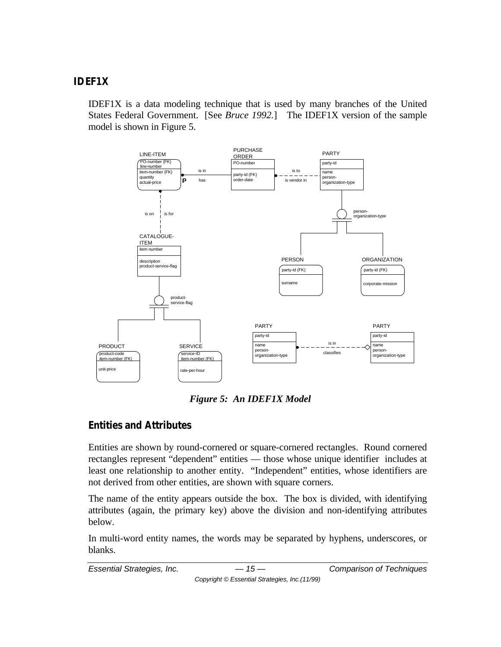#### **IDEF1X**

IDEF1X is a data modeling technique that is used by many branches of the United States Federal Government. [See *Bruce 1992.*] The IDEF1X version of the sample model is shown in Figure 5.



*Figure 5: An IDEF1X Model*

## **Entities and Attributes**

Entities are shown by round-cornered or square-cornered rectangles. Round cornered rectangles represent "dependent" entities — those whose unique identifier includes at least one relationship to another entity. "Independent" entities, whose identifiers are not derived from other entities, are shown with square corners.

The name of the entity appears outside the box. The box is divided, with identifying attributes (again, the primary key) above the division and non-identifying attributes below.

In multi-word entity names, the words may be separated by hyphens, underscores, or blanks.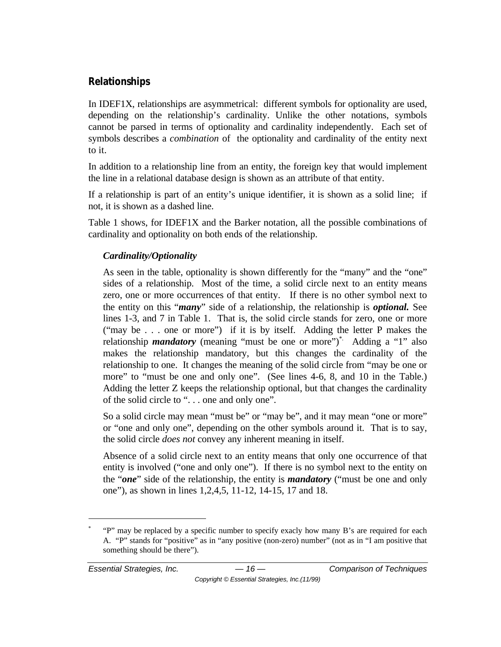## **Relationships**

In IDEF1X, relationships are asymmetrical: different symbols for optionality are used, depending on the relationship's cardinality. Unlike the other notations, symbols cannot be parsed in terms of optionality and cardinality independently. Each set of symbols describes a *combination* of the optionality and cardinality of the entity next to it.

In addition to a relationship line from an entity, the foreign key that would implement the line in a relational database design is shown as an attribute of that entity.

If a relationship is part of an entity's unique identifier, it is shown as a solid line; if not, it is shown as a dashed line.

Table 1 shows, for IDEF1X and the Barker notation, all the possible combinations of cardinality and optionality on both ends of the relationship.

## *Cardinality/Optionality*

As seen in the table, optionality is shown differently for the "many" and the "one" sides of a relationship. Most of the time, a solid circle next to an entity means zero, one or more occurrences of that entity. If there is no other symbol next to the entity on this "*many*" side of a relationship, the relationship is *optional.* See lines 1-3, and 7 in Table 1. That is, the solid circle stands for zero, one or more ("may be . . . one or more") if it is by itself. Adding the letter P makes the relationship *mandatory* (meaning "must be one or more")<sup>\*</sup> Adding a "1" also makes the relationship mandatory, but this changes the cardinality of the relationship to one. It changes the meaning of the solid circle from "may be one or more" to "must be one and only one". (See lines 4-6, 8, and 10 in the Table.) Adding the letter Z keeps the relationship optional, but that changes the cardinality of the solid circle to ". . . one and only one".

So a solid circle may mean "must be" or "may be", and it may mean "one or more" or "one and only one", depending on the other symbols around it. That is to say, the solid circle *does not* convey any inherent meaning in itself.

Absence of a solid circle next to an entity means that only one occurrence of that entity is involved ("one and only one"). If there is no symbol next to the entity on the "*one*" side of the relationship, the entity is *mandatory* ("must be one and only one"), as shown in lines 1,2,4,5, 11-12, 14-15, 17 and 18.

 $\overline{a}$ 

<sup>\*</sup> "P" may be replaced by a specific number to specify exacly how many B's are required for each A. "P" stands for "positive" as in "any positive (non-zero) number" (not as in "I am positive that something should be there").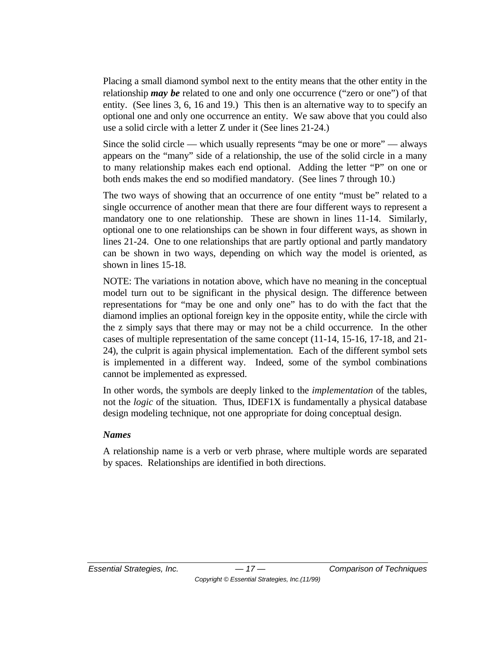Placing a small diamond symbol next to the entity means that the other entity in the relationship *may be* related to one and only one occurrence ("zero or one") of that entity. (See lines 3, 6, 16 and 19.) This then is an alternative way to to specify an optional one and only one occurrence an entity. We saw above that you could also use a solid circle with a letter Z under it (See lines 21-24.)

Since the solid circle — which usually represents "may be one or more" — always appears on the "many" side of a relationship, the use of the solid circle in a many to many relationship makes each end optional. Adding the letter "P" on one or both ends makes the end so modified mandatory. (See lines 7 through 10.)

The two ways of showing that an occurrence of one entity "must be" related to a single occurrence of another mean that there are four different ways to represent a mandatory one to one relationship. These are shown in lines 11-14. Similarly, optional one to one relationships can be shown in four different ways, as shown in lines 21-24. One to one relationships that are partly optional and partly mandatory can be shown in two ways, depending on which way the model is oriented, as shown in lines 15-18.

NOTE: The variations in notation above, which have no meaning in the conceptual model turn out to be significant in the physical design. The difference between representations for "may be one and only one" has to do with the fact that the diamond implies an optional foreign key in the opposite entity, while the circle with the z simply says that there may or may not be a child occurrence. In the other cases of multiple representation of the same concept (11-14, 15-16, 17-18, and 21- 24), the culprit is again physical implementation. Each of the different symbol sets is implemented in a different way. Indeed, some of the symbol combinations cannot be implemented as expressed.

In other words, the symbols are deeply linked to the *implementation* of the tables, not the *logic* of the situation. Thus, IDEF1X is fundamentally a physical database design modeling technique, not one appropriate for doing conceptual design.

#### *Names*

A relationship name is a verb or verb phrase, where multiple words are separated by spaces. Relationships are identified in both directions.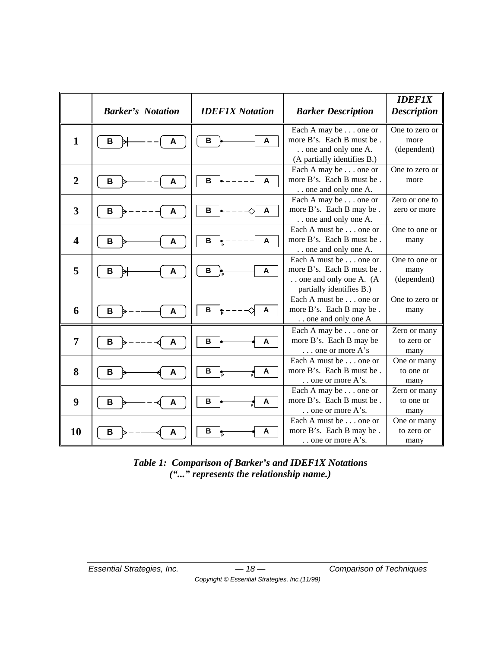|                         | <b>Barker's Notation</b> | <b>IDEF1X Notation</b> | <b>Barker Description</b>                                                                                | <b>IDEF1X</b><br><b>Description</b>   |
|-------------------------|--------------------------|------------------------|----------------------------------------------------------------------------------------------------------|---------------------------------------|
| $\mathbf{1}$            | В<br>A                   | B<br>A                 | Each A may be one or<br>more B's. Each B must be.<br>one and only one A.<br>(A partially identifies B.)  | One to zero or<br>more<br>(dependent) |
| $\overline{2}$          | В<br>A                   | B<br>A                 | Each A may be one or<br>more B's. Each B must be.<br>one and only one A.                                 | One to zero or<br>more                |
| 3                       | В<br>A                   | $\, {\bf B}$<br>A      | Each A may be one or<br>more B's. Each B may be.<br>one and only one A.                                  | Zero or one to<br>zero or more        |
| $\overline{\mathbf{4}}$ | B<br>A                   | B<br>A                 | Each A must be one or<br>more B's. Each B must be.<br>one and only one A.                                | One to one or<br>many                 |
| 5                       | В<br>A                   | В<br>A                 | Each A must be one or<br>more B's. Each B must be.<br>one and only one A. (A<br>partially identifies B.) | One to one or<br>many<br>(dependent)  |
| 6                       | В<br>A                   | $\, {\bf B}$<br>A      | Each A must be one or<br>more B's. Each B may be.<br>one and only one A                                  | One to zero or<br>many                |
| 7                       | A<br>B                   | В<br>A                 | Each A may be one or<br>more B's. Each B may be<br>one or more A's                                       | Zero or many<br>to zero or<br>many    |
| 8                       | В<br>A                   | в<br>A                 | Each A must be one or<br>more B's. Each B must be.<br>one or more A's.                                   | One or many<br>to one or<br>many      |
| 9                       | В<br>A                   | В<br>A                 | Each A may be one or<br>more B's. Each B must be.<br>$\ldots$ one or more A's.                           | Zero or many<br>to one or<br>many     |
| 10                      | Α<br>в                   | B<br>A                 | Each A must be one or<br>more B's. Each B may be.<br>$\ldots$ one or more A's.                           | One or many<br>to zero or<br>many     |

*Table 1: Comparison of Barker's and IDEF1X Notations ("..." represents the relationship name.)*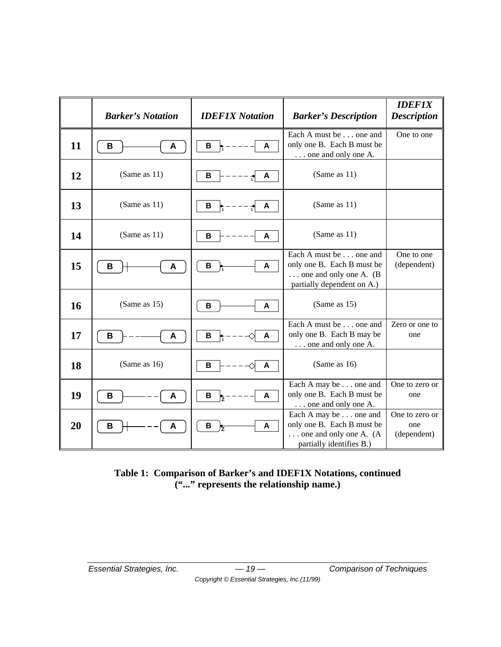|    | <b>Barker's Notation</b> | <b>IDEF1X Notation</b> | <b>Barker's Description</b>                                                                                            | <b>IDEF1X</b><br><b>Description</b>  |
|----|--------------------------|------------------------|------------------------------------------------------------------------------------------------------------------------|--------------------------------------|
| 11 | В<br>A                   | В<br>A                 | Each A must be one and<br>only one B. Each B must be<br>one and only one A.                                            | One to one                           |
| 12 | (Same as $11$ )          | B<br>A                 | (Same as $11$ )                                                                                                        |                                      |
| 13 | (Same as $11$ )          | B<br>A                 | (Same as $11$ )                                                                                                        |                                      |
| 14 | (Same as $11$ )          | В<br>A                 | (Same as 11)                                                                                                           |                                      |
| 15 | В<br>Α                   | В<br>A                 | Each A must be one and<br>only one B. Each B must be<br>$\ldots$ one and only one A. (B)<br>partially dependent on A.) | One to one<br>(dependent)            |
| 16 | (Same as 15)             | B<br>A                 | (Same as 15)                                                                                                           |                                      |
| 17 | В<br>Α                   | $\, {\bf B}$<br>A      | Each A must be one and<br>only one B. Each B may be<br>one and only one A.                                             | Zero or one to<br>one                |
| 18 | (Same as 16)             | B<br>A                 | (Same as $16$ )                                                                                                        |                                      |
| 19 | В<br>Α                   | B<br>A                 | Each A may be one and<br>only one B. Each B must be<br>one and only one A.                                             | One to zero or<br>one                |
| 20 | В<br>Α                   | В<br>A                 | Each A may be one and<br>only one B. Each B must be<br>$\ldots$ one and only one A. (A<br>partially identifies B.)     | One to zero or<br>one<br>(dependent) |

#### **Table 1: Comparison of Barker's and IDEF1X Notations, continued ("..." represents the relationship name.)**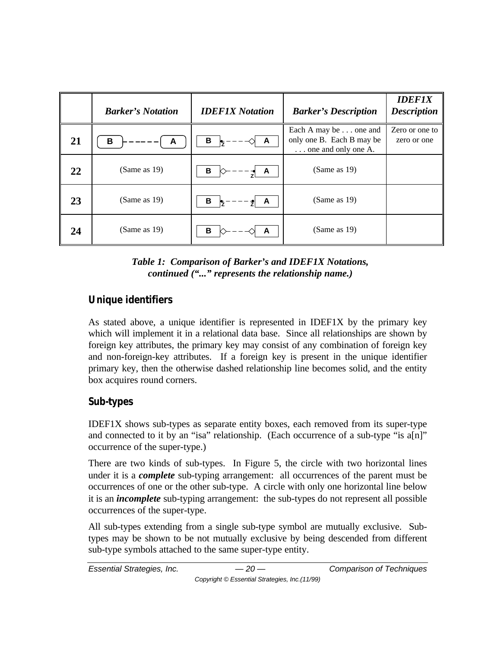|    | <b>Barker's Notation</b> | <b>IDEF1X Notation</b>    | <b>Barker's Description</b>                                               | <b>IDEF1X</b><br><b>Description</b> |
|----|--------------------------|---------------------------|---------------------------------------------------------------------------|-------------------------------------|
| 21 | В<br>A                   | В<br>A                    | Each A may be one and<br>only one B. Each B may be<br>one and only one A. | Zero or one to<br>zero or one       |
| 22 | (Same as 19)             | В<br>A                    | (Same as $19$ )                                                           |                                     |
| 23 | (Same as $19$ )          | $B \left  \right _Z$<br>A | (Same as $19$ )                                                           |                                     |
| 24 | (Same as $19$ )          | в<br>A                    | (Same as $19$ )                                                           |                                     |

#### *Table 1: Comparison of Barker's and IDEF1X Notations, continued ("..." represents the relationship name.)*

# **Unique identifiers**

As stated above, a unique identifier is represented in IDEF1X by the primary key which will implement it in a relational data base. Since all relationships are shown by foreign key attributes, the primary key may consist of any combination of foreign key and non-foreign-key attributes. If a foreign key is present in the unique identifier primary key, then the otherwise dashed relationship line becomes solid, and the entity box acquires round corners.

# **Sub-types**

IDEF1X shows sub-types as separate entity boxes, each removed from its super-type and connected to it by an "isa" relationship. (Each occurrence of a sub-type "is a[n]" occurrence of the super-type.)

There are two kinds of sub-types. In Figure 5, the circle with two horizontal lines under it is a *complete* sub-typing arrangement: all occurrences of the parent must be occurrences of one or the other sub-type. A circle with only one horizontal line below it is an *incomplete* sub-typing arrangement: the sub-types do not represent all possible occurrences of the super-type.

All sub-types extending from a single sub-type symbol are mutually exclusive. Subtypes may be shown to be not mutually exclusive by being descended from different sub-type symbols attached to the same super-type entity.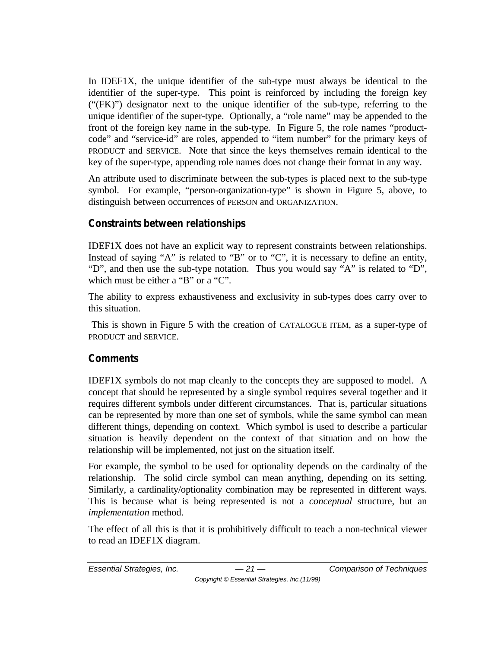In IDEF1X, the unique identifier of the sub-type must always be identical to the identifier of the super-type. This point is reinforced by including the foreign key ("(FK)") designator next to the unique identifier of the sub-type, referring to the unique identifier of the super-type. Optionally, a "role name" may be appended to the front of the foreign key name in the sub-type. In Figure 5, the role names "productcode" and "service-id" are roles, appended to "item number" for the primary keys of PRODUCT and SERVICE. Note that since the keys themselves remain identical to the key of the super-type, appending role names does not change their format in any way.

An attribute used to discriminate between the sub-types is placed next to the sub-type symbol. For example, "person-organization-type" is shown in Figure 5, above, to distinguish between occurrences of PERSON and ORGANIZATION.

## **Constraints between relationships**

IDEF1X does not have an explicit way to represent constraints between relationships. Instead of saying "A" is related to "B" or to "C", it is necessary to define an entity, "D", and then use the sub-type notation. Thus you would say "A" is related to "D", which must be either a "B" or a "C".

The ability to express exhaustiveness and exclusivity in sub-types does carry over to this situation.

 This is shown in Figure 5 with the creation of CATALOGUE ITEM, as a super-type of PRODUCT and SERVICE.

#### **Comments**

IDEF1X symbols do not map cleanly to the concepts they are supposed to model. A concept that should be represented by a single symbol requires several together and it requires different symbols under different circumstances. That is, particular situations can be represented by more than one set of symbols, while the same symbol can mean different things, depending on context. Which symbol is used to describe a particular situation is heavily dependent on the context of that situation and on how the relationship will be implemented, not just on the situation itself.

For example, the symbol to be used for optionality depends on the cardinalty of the relationship. The solid circle symbol can mean anything, depending on its setting. Similarly, a cardinality/optionality combination may be represented in different ways. This is because what is being represented is not a *conceptual* structure, but an *implementation* method.

The effect of all this is that it is prohibitively difficult to teach a non-technical viewer to read an IDEF1X diagram.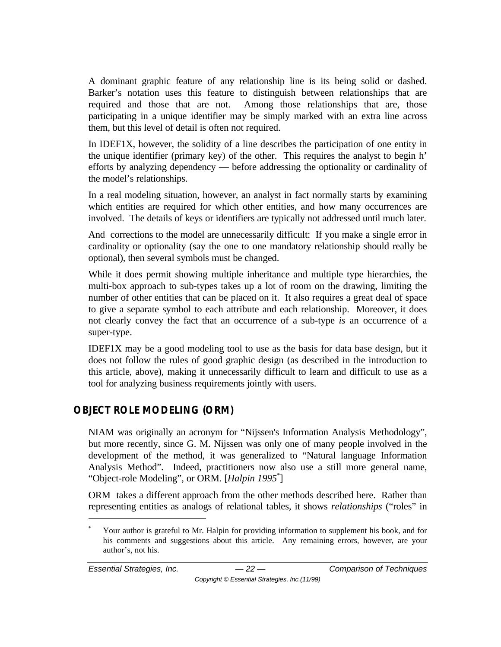A dominant graphic feature of any relationship line is its being solid or dashed. Barker's notation uses this feature to distinguish between relationships that are required and those that are not. Among those relationships that are, those participating in a unique identifier may be simply marked with an extra line across them, but this level of detail is often not required.

In IDEF1X, however, the solidity of a line describes the participation of one entity in the unique identifier (primary key) of the other. This requires the analyst to begin h' efforts by analyzing dependency — before addressing the optionality or cardinality of the model's relationships.

In a real modeling situation, however, an analyst in fact normally starts by examining which entities are required for which other entities, and how many occurrences are involved. The details of keys or identifiers are typically not addressed until much later.

And corrections to the model are unnecessarily difficult: If you make a single error in cardinality or optionality (say the one to one mandatory relationship should really be optional), then several symbols must be changed.

While it does permit showing multiple inheritance and multiple type hierarchies, the multi-box approach to sub-types takes up a lot of room on the drawing, limiting the number of other entities that can be placed on it. It also requires a great deal of space to give a separate symbol to each attribute and each relationship. Moreover, it does not clearly convey the fact that an occurrence of a sub-type *is* an occurrence of a super-type.

IDEF1X may be a good modeling tool to use as the basis for data base design, but it does not follow the rules of good graphic design (as described in the introduction to this article, above), making it unnecessarily difficult to learn and difficult to use as a tool for analyzing business requirements jointly with users.

# **OBJECT ROLE MODELING (ORM)**

NIAM was originally an acronym for "Nijssen's Information Analysis Methodology", but more recently, since G. M. Nijssen was only one of many people involved in the development of the method, it was generalized to "Natural language Information Analysis Method". Indeed, practitioners now also use a still more general name, "Object-role Modeling", or ORM. [*Halpin 1995*\* ]

ORM takes a different approach from the other methods described here. Rather than representing entities as analogs of relational tables, it shows *relationships* ("roles" in

 $\overline{a}$ 

Your author is grateful to Mr. Halpin for providing information to supplement his book, and for his comments and suggestions about this article. Any remaining errors, however, are your author's, not his.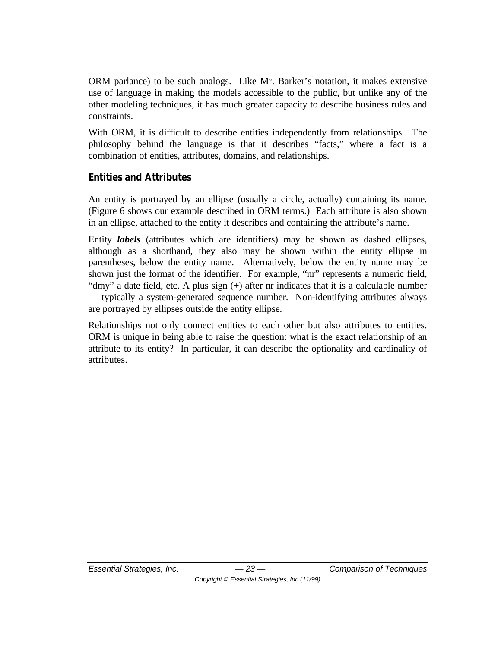ORM parlance) to be such analogs. Like Mr. Barker's notation, it makes extensive use of language in making the models accessible to the public, but unlike any of the other modeling techniques, it has much greater capacity to describe business rules and constraints.

With ORM, it is difficult to describe entities independently from relationships. The philosophy behind the language is that it describes "facts," where a fact is a combination of entities, attributes, domains, and relationships.

## **Entities and Attributes**

An entity is portrayed by an ellipse (usually a circle, actually) containing its name. (Figure 6 shows our example described in ORM terms.) Each attribute is also shown in an ellipse, attached to the entity it describes and containing the attribute's name.

Entity *labels* (attributes which are identifiers) may be shown as dashed ellipses, although as a shorthand, they also may be shown within the entity ellipse in parentheses, below the entity name. Alternatively, below the entity name may be shown just the format of the identifier. For example, "nr" represents a numeric field, "dmy" a date field, etc. A plus sign (+) after nr indicates that it is a calculable number — typically a system-generated sequence number. Non-identifying attributes always are portrayed by ellipses outside the entity ellipse.

Relationships not only connect entities to each other but also attributes to entities. ORM is unique in being able to raise the question: what is the exact relationship of an attribute to its entity? In particular, it can describe the optionality and cardinality of attributes.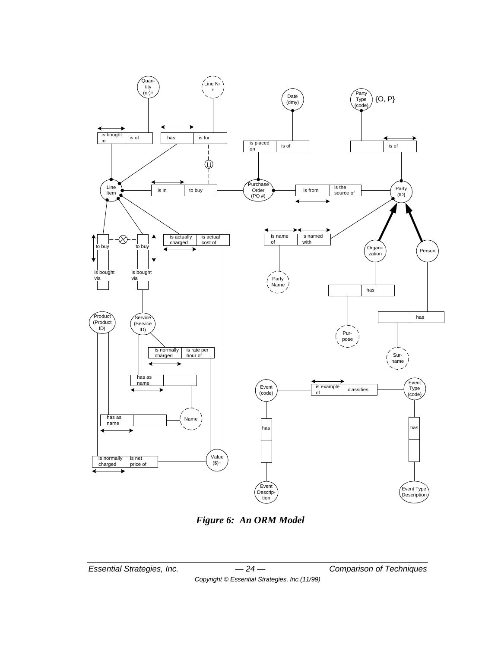

*Figure 6: An ORM Model*

*Essential Strategies, Inc. — 24 — Comparison of Techniques Copyright © Essential Strategies, Inc.(11/99)*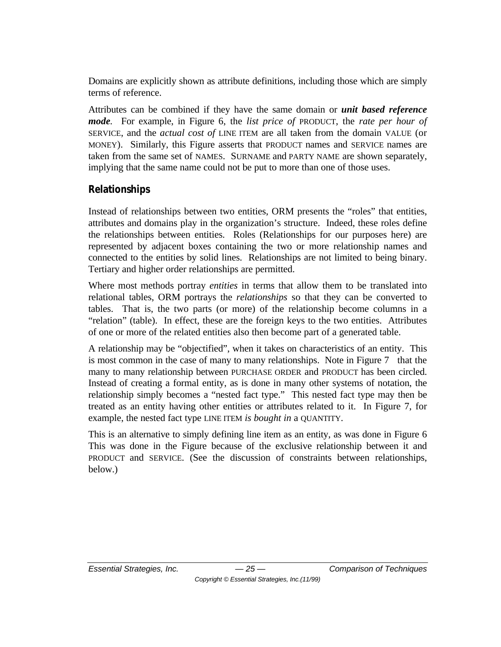Domains are explicitly shown as attribute definitions, including those which are simply terms of reference.

Attributes can be combined if they have the same domain or *unit based reference mode.* For example, in Figure 6, the *list price of* PRODUCT, the *rate per hour of* SERVICE, and the *actual cost of* LINE ITEM are all taken from the domain VALUE (or MONEY). Similarly, this Figure asserts that PRODUCT names and SERVICE names are taken from the same set of NAMES. SURNAME and PARTY NAME are shown separately, implying that the same name could not be put to more than one of those uses.

## **Relationships**

Instead of relationships between two entities, ORM presents the "roles" that entities, attributes and domains play in the organization's structure. Indeed, these roles define the relationships between entities. Roles (Relationships for our purposes here) are represented by adjacent boxes containing the two or more relationship names and connected to the entities by solid lines. Relationships are not limited to being binary. Tertiary and higher order relationships are permitted.

Where most methods portray *entities* in terms that allow them to be translated into relational tables, ORM portrays the *relationships* so that they can be converted to tables. That is, the two parts (or more) of the relationship become columns in a "relation" (table). In effect, these are the foreign keys to the two entities. Attributes of one or more of the related entities also then become part of a generated table.

A relationship may be "objectified", when it takes on characteristics of an entity. This is most common in the case of many to many relationships. Note in Figure 7 that the many to many relationship between PURCHASE ORDER and PRODUCT has been circled. Instead of creating a formal entity, as is done in many other systems of notation, the relationship simply becomes a "nested fact type." This nested fact type may then be treated as an entity having other entities or attributes related to it. In Figure 7, for example, the nested fact type LINE ITEM *is bought in* a QUANTITY.

This is an alternative to simply defining line item as an entity, as was done in Figure 6 This was done in the Figure because of the exclusive relationship between it and PRODUCT and SERVICE. (See the discussion of constraints between relationships, below.)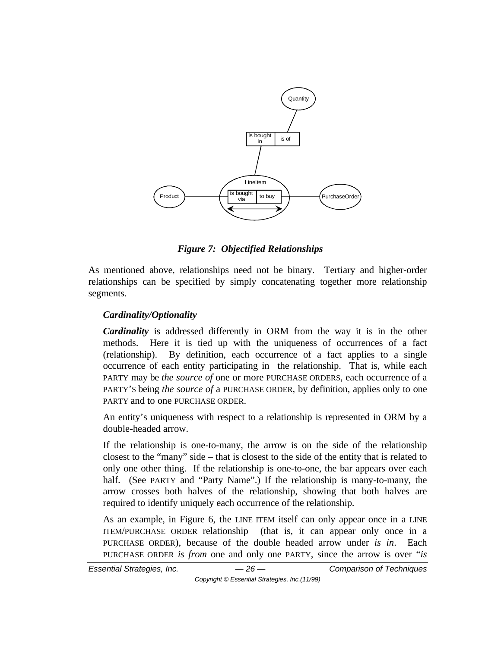

*Figure 7: Objectified Relationships*

As mentioned above, relationships need not be binary. Tertiary and higher-order relationships can be specified by simply concatenating together more relationship segments.

#### *Cardinality/Optionality*

*Cardinality* is addressed differently in ORM from the way it is in the other methods. Here it is tied up with the uniqueness of occurrences of a fact (relationship). By definition, each occurrence of a fact applies to a single occurrence of each entity participating in the relationship. That is, while each PARTY may be *the source of* one or more PURCHASE ORDERS, each occurrence of a PARTY'S being *the source of* a PURCHASE ORDER, by definition, applies only to one PARTY and to one PURCHASE ORDER.

An entity's uniqueness with respect to a relationship is represented in ORM by a double-headed arrow.

If the relationship is one-to-many, the arrow is on the side of the relationship closest to the "many" side – that is closest to the side of the entity that is related to only one other thing. If the relationship is one-to-one, the bar appears over each half. (See PARTY and "Party Name".) If the relationship is many-to-many, the arrow crosses both halves of the relationship, showing that both halves are required to identify uniquely each occurrence of the relationship.

As an example, in Figure 6, the LINE ITEM itself can only appear once in a LINE ITEM/PURCHASE ORDER relationship (that is, it can appear only once in a PURCHASE ORDER), because of the double headed arrow under *is in*. Each PURCHASE ORDER *is from* one and only one PARTY, since the arrow is over "*is*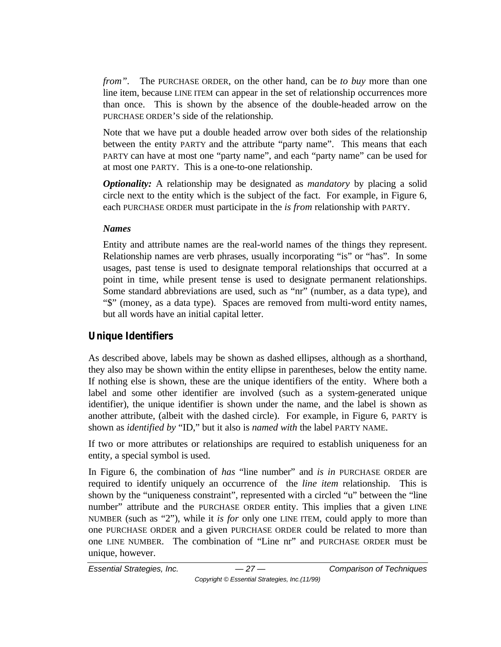*from".* The PURCHASE ORDER, on the other hand, can be *to buy* more than one line item, because LINE ITEM can appear in the set of relationship occurrences more than once. This is shown by the absence of the double-headed arrow on the PURCHASE ORDER'S side of the relationship.

Note that we have put a double headed arrow over both sides of the relationship between the entity PARTY and the attribute "party name". This means that each PARTY can have at most one "party name", and each "party name" can be used for at most one PARTY. This is a one-to-one relationship.

*Optionality:* A relationship may be designated as *mandatory* by placing a solid circle next to the entity which is the subject of the fact. For example, in Figure 6, each PURCHASE ORDER must participate in the *is from* relationship with PARTY.

#### *Names*

Entity and attribute names are the real-world names of the things they represent. Relationship names are verb phrases, usually incorporating "is" or "has". In some usages, past tense is used to designate temporal relationships that occurred at a point in time, while present tense is used to designate permanent relationships. Some standard abbreviations are used, such as "nr" (number, as a data type), and "\$" (money, as a data type). Spaces are removed from multi-word entity names, but all words have an initial capital letter.

## **Unique Identifiers**

As described above, labels may be shown as dashed ellipses, although as a shorthand, they also may be shown within the entity ellipse in parentheses, below the entity name. If nothing else is shown, these are the unique identifiers of the entity. Where both a label and some other identifier are involved (such as a system-generated unique identifier), the unique identifier is shown under the name, and the label is shown as another attribute, (albeit with the dashed circle). For example, in Figure 6, PARTY is shown as *identified by* "ID," but it also is *named with* the label PARTY NAME.

If two or more attributes or relationships are required to establish uniqueness for an entity, a special symbol is used.

In Figure 6, the combination of *has* "line number" and *is in* PURCHASE ORDER are required to identify uniquely an occurrence of the *line item* relationship. This is shown by the "uniqueness constraint", represented with a circled "u" between the "line number" attribute and the PURCHASE ORDER entity. This implies that a given LINE NUMBER (such as "2"), while it *is for* only one LINE ITEM, could apply to more than one PURCHASE ORDER and a given PURCHASE ORDER could be related to more than one LINE NUMBER. The combination of "Line nr" and PURCHASE ORDER must be unique, however.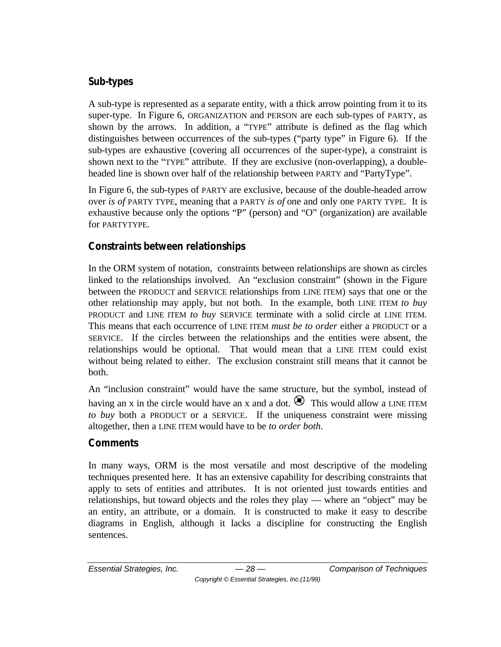## **Sub-types**

A sub-type is represented as a separate entity, with a thick arrow pointing from it to its super-type. In Figure 6, ORGANIZATION and PERSON are each sub-types of PARTY, as shown by the arrows. In addition, a "TYPE" attribute is defined as the flag which distinguishes between occurrences of the sub-types ("party type" in Figure 6). If the sub-types are exhaustive (covering all occurrences of the super-type), a constraint is shown next to the "TYPE" attribute. If they are exclusive (non-overlapping), a doubleheaded line is shown over half of the relationship between PARTY and "PartyType".

In Figure 6, the sub-types of PARTY are exclusive, because of the double-headed arrow over *is of* PARTY TYPE, meaning that a PARTY *is of* one and only one PARTY TYPE. It is exhaustive because only the options "P" (person) and "O" (organization) are available for PARTYTYPE.

## **Constraints between relationships**

In the ORM system of notation, constraints between relationships are shown as circles linked to the relationships involved. An "exclusion constraint" (shown in the Figure between the PRODUCT and SERVICE relationships from LINE ITEM) says that one or the other relationship may apply, but not both. In the example, both LINE ITEM *to buy* PRODUCT and LINE ITEM *to buy* SERVICE terminate with a solid circle at LINE ITEM. This means that each occurrence of LINE ITEM *must be to order* either a PRODUCT or a SERVICE. If the circles between the relationships and the entities were absent, the relationships would be optional. That would mean that a LINE ITEM could exist without being related to either. The exclusion constraint still means that it cannot be both.

An "inclusion constraint" would have the same structure, but the symbol, instead of having an x in the circle would have an x and a dot.  $\otimes$  This would allow a LINE ITEM *to buy* both a PRODUCT or a SERVICE. If the uniqueness constraint were missing altogether, then a LINE ITEM would have to be *to order both.*

## **Comments**

In many ways, ORM is the most versatile and most descriptive of the modeling techniques presented here. It has an extensive capability for describing constraints that apply to sets of entities and attributes. It is not oriented just towards entities and relationships, but toward objects and the roles they play — where an "object" may be an entity, an attribute, or a domain. It is constructed to make it easy to describe diagrams in English, although it lacks a discipline for constructing the English sentences.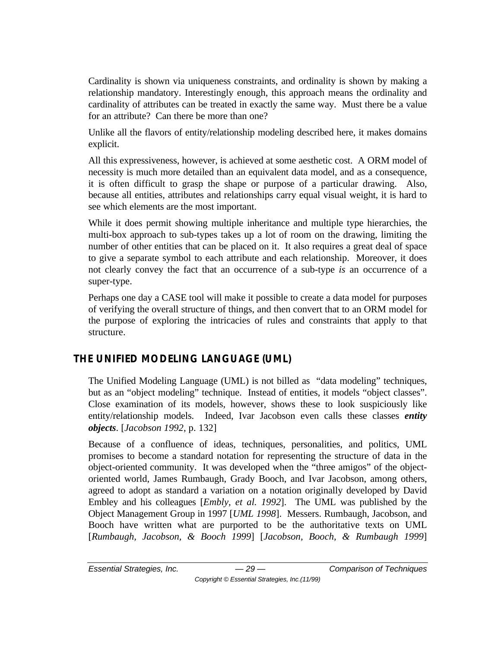Cardinality is shown via uniqueness constraints, and ordinality is shown by making a relationship mandatory. Interestingly enough, this approach means the ordinality and cardinality of attributes can be treated in exactly the same way. Must there be a value for an attribute? Can there be more than one?

Unlike all the flavors of entity/relationship modeling described here, it makes domains explicit.

All this expressiveness, however, is achieved at some aesthetic cost. A ORM model of necessity is much more detailed than an equivalent data model, and as a consequence, it is often difficult to grasp the shape or purpose of a particular drawing. Also, because all entities, attributes and relationships carry equal visual weight, it is hard to see which elements are the most important.

While it does permit showing multiple inheritance and multiple type hierarchies, the multi-box approach to sub-types takes up a lot of room on the drawing, limiting the number of other entities that can be placed on it. It also requires a great deal of space to give a separate symbol to each attribute and each relationship. Moreover, it does not clearly convey the fact that an occurrence of a sub-type *is* an occurrence of a super-type.

Perhaps one day a CASE tool will make it possible to create a data model for purposes of verifying the overall structure of things, and then convert that to an ORM model for the purpose of exploring the intricacies of rules and constraints that apply to that structure.

# **THE UNIFIED MODELING LANGUAGE (UML)**

The Unified Modeling Language (UML) is not billed as "data modeling" techniques, but as an "object modeling" technique. Instead of entities, it models "object classes". Close examination of its models, however, shows these to look suspiciously like entity/relationship models. Indeed, Ivar Jacobson even calls these classes *entity objects*. [*Jacobson 1992*, p. 132]

Because of a confluence of ideas, techniques, personalities, and politics, UML promises to become a standard notation for representing the structure of data in the object-oriented community. It was developed when the "three amigos" of the objectoriented world, James Rumbaugh, Grady Booch, and Ivar Jacobson, among others, agreed to adopt as standard a variation on a notation originally developed by David Embley and his colleagues [*Embly, et al. 1992*]. The UML was published by the Object Management Group in 1997 [*UML 1998*]. Messers. Rumbaugh, Jacobson, and Booch have written what are purported to be the authoritative texts on UML [*Rumbaugh, Jacobson, & Booch 1999*] [*Jacobson, Booch, & Rumbaugh 1999*]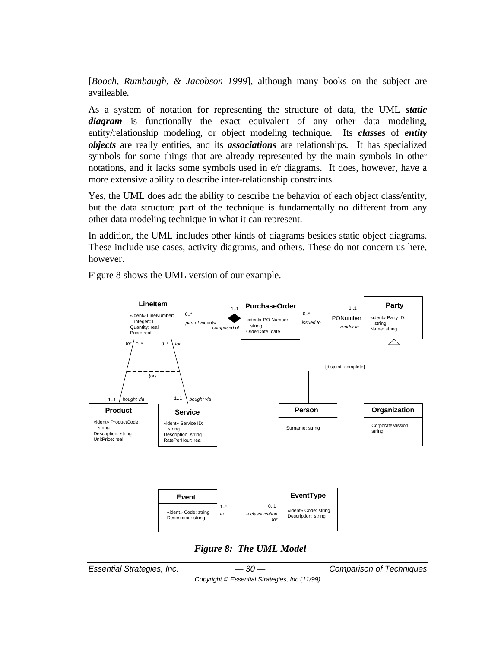[*Booch, Rumbaugh, & Jacobson 1999*], although many books on the subject are availeable.

As a system of notation for representing the structure of data, the UML *static diagram* is functionally the exact equivalent of any other data modeling, entity/relationship modeling, or object modeling technique. Its *classes* of *entity objects* are really entities, and its *associations* are relationships. It has specialized symbols for some things that are already represented by the main symbols in other notations, and it lacks some symbols used in e/r diagrams. It does, however, have a more extensive ability to describe inter-relationship constraints.

Yes, the UML does add the ability to describe the behavior of each object class/entity, but the data structure part of the technique is fundamentally no different from any other data modeling technique in what it can represent.

In addition, the UML includes other kinds of diagrams besides static object diagrams. These include use cases, activity diagrams, and others. These do not concern us here, however.

Figure 8 shows the UML version of our example.



*Essential Strategies, Inc. — 30 — Comparison of Techniques*

*Copyright © Essential Strategies, Inc.(11/99)*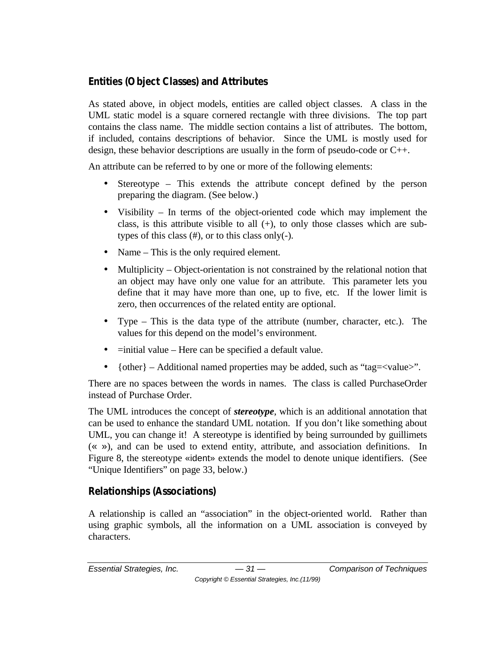# **Entities (Object Classes) and Attributes**

As stated above, in object models, entities are called object classes. A class in the UML static model is a square cornered rectangle with three divisions. The top part contains the class name. The middle section contains a list of attributes. The bottom, if included, contains descriptions of behavior. Since the UML is mostly used for design, these behavior descriptions are usually in the form of pseudo-code or C++.

An attribute can be referred to by one or more of the following elements:

- Stereotype This extends the attribute concept defined by the person preparing the diagram. (See below.)
- Visibility In terms of the object-oriented code which may implement the class, is this attribute visible to all  $(+)$ , to only those classes which are subtypes of this class (#), or to this class only(-).
- Name This is the only required element.
- Multiplicity Object-orientation is not constrained by the relational notion that an object may have only one value for an attribute. This parameter lets you define that it may have more than one, up to five, etc. If the lower limit is zero, then occurrences of the related entity are optional.
- Type This is the data type of the attribute (number, character, etc.). The values for this depend on the model's environment.
- $\bullet$  =initial value Here can be specified a default value.
- {other} Additional named properties may be added, such as "tag= $\langle$ value $\rangle$ ".

There are no spaces between the words in names. The class is called PurchaseOrder instead of Purchase Order.

The UML introduces the concept of *stereotype*, which is an additional annotation that can be used to enhance the standard UML notation. If you don't like something about UML, you can change it! A stereotype is identified by being surrounded by guillimets (« »), and can be used to extend entity, attribute, and association definitions. In Figure 8, the stereotype «ident» extends the model to denote unique identifiers. (See "Unique Identifiers" on page 33, below.)

# **Relationships (Associations)**

A relationship is called an "association" in the object-oriented world. Rather than using graphic symbols, all the information on a UML association is conveyed by characters.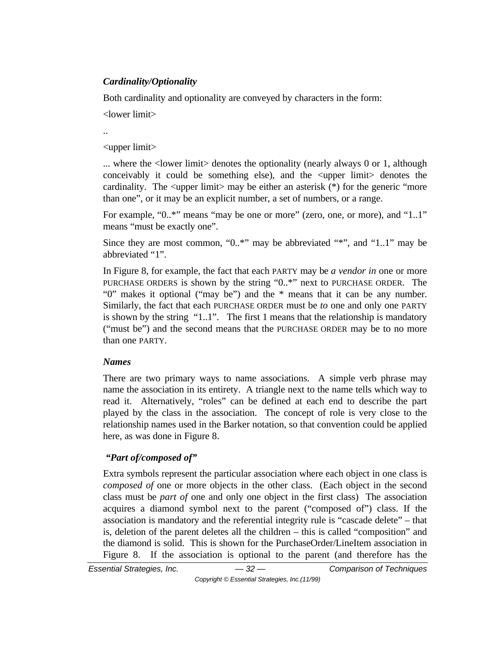#### *Cardinality/Optionality*

Both cardinality and optionality are conveyed by characters in the form:

<lower limit>

..

<upper limit>

... where the  $\langle$ -lower limit denotes the optionality (nearly always 0 or 1, although conceivably it could be something else), and the <upper limit> denotes the cardinality. The  $\langle$ upper limit $\rangle$  may be either an asterisk (\*) for the generic "more than one", or it may be an explicit number, a set of numbers, or a range.

For example, "0..\*" means "may be one or more" (zero, one, or more), and "1..1" means "must be exactly one".

Since they are most common, "0..\*" may be abbreviated "\*", and "1..1" may be abbreviated "1".

In Figure 8, for example, the fact that each PARTY may be *a vendor in* one or more PURCHASE ORDERS is shown by the string "0..\*" next to PURCHASE ORDER. The "0" makes it optional ("may be") and the \* means that it can be any number. Similarly, the fact that each PURCHASE ORDER must be *to* one and only one PARTY is shown by the string "1..1". The first 1 means that the relationship is mandatory ("must be") and the second means that the PURCHASE ORDER may be to no more than one PARTY.

#### *Names*

There are two primary ways to name associations. A simple verb phrase may name the association in its entirety. A triangle next to the name tells which way to read it. Alternatively, "roles" can be defined at each end to describe the part played by the class in the association. The concept of role is very close to the relationship names used in the Barker notation, so that convention could be applied here, as was done in Figure 8.

## *"Part of/composed of"*

Extra symbols represent the particular association where each object in one class is *composed of* one or more objects in the other class. (Each object in the second class must be *part of* one and only one object in the first class) The association acquires a diamond symbol next to the parent ("composed of") class. If the association is mandatory and the referential integrity rule is "cascade delete" – that is, deletion of the parent deletes all the children – this is called "composition" and the diamond is solid. This is shown for the PurchaseOrder/LineItem association in Figure 8. If the association is optional to the parent (and therefore has the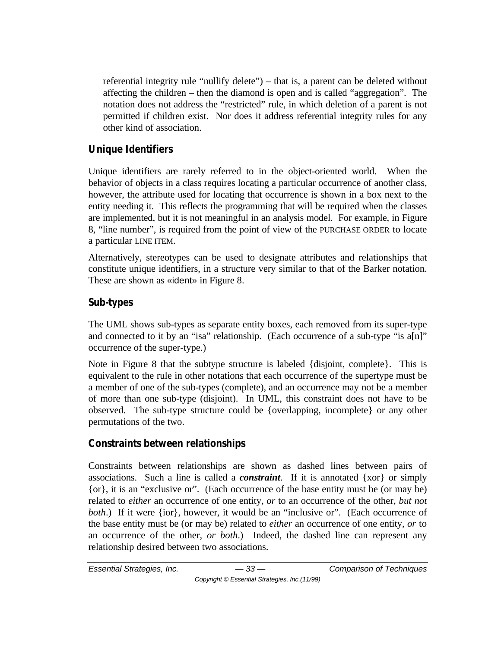referential integrity rule "nullify delete") – that is, a parent can be deleted without affecting the children – then the diamond is open and is called "aggregation". The notation does not address the "restricted" rule, in which deletion of a parent is not permitted if children exist. Nor does it address referential integrity rules for any other kind of association.

## **Unique Identifiers**

Unique identifiers are rarely referred to in the object-oriented world. When the behavior of objects in a class requires locating a particular occurrence of another class, however, the attribute used for locating that occurrence is shown in a box next to the entity needing it. This reflects the programming that will be required when the classes are implemented, but it is not meaningful in an analysis model. For example, in Figure 8, "line number", is required from the point of view of the PURCHASE ORDER to locate a particular LINE ITEM.

Alternatively, stereotypes can be used to designate attributes and relationships that constitute unique identifiers, in a structure very similar to that of the Barker notation. These are shown as «ident» in Figure 8.

## **Sub-types**

The UML shows sub-types as separate entity boxes, each removed from its super-type and connected to it by an "isa" relationship. (Each occurrence of a sub-type "is a[n]" occurrence of the super-type.)

Note in Figure 8 that the subtype structure is labeled {disjoint, complete}. This is equivalent to the rule in other notations that each occurrence of the supertype must be a member of one of the sub-types (complete), and an occurrence may not be a member of more than one sub-type (disjoint). In UML, this constraint does not have to be observed. The sub-type structure could be {overlapping, incomplete} or any other permutations of the two.

# **Constraints between relationships**

Constraints between relationships are shown as dashed lines between pairs of associations. Such a line is called a *constraint*. If it is annotated {xor} or simply {or}, it is an "exclusive or". (Each occurrence of the base entity must be (or may be) related to *either* an occurrence of one entity, *or* to an occurrence of the other, *but not both.*) If it were {ior}, however, it would be an "inclusive or". (Each occurrence of the base entity must be (or may be) related to *either* an occurrence of one entity, *or* to an occurrence of the other, *or both*.) Indeed, the dashed line can represent any relationship desired between two associations.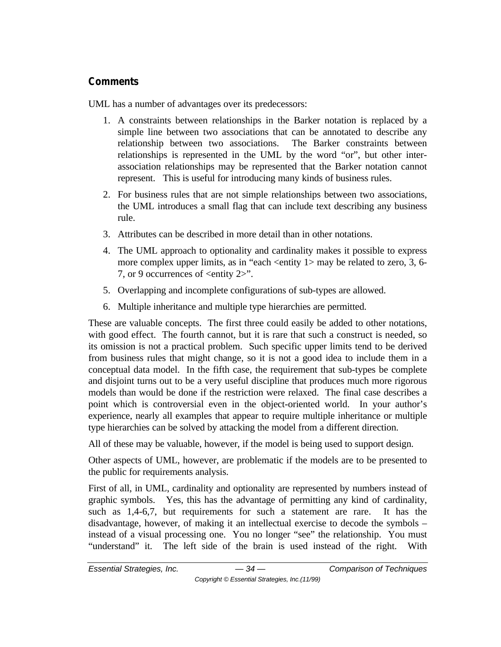## **Comments**

UML has a number of advantages over its predecessors:

- 1. A constraints between relationships in the Barker notation is replaced by a simple line between two associations that can be annotated to describe any relationship between two associations. The Barker constraints between relationships is represented in the UML by the word "or", but other interassociation relationships may be represented that the Barker notation cannot represent. This is useful for introducing many kinds of business rules.
- 2. For business rules that are not simple relationships between two associations, the UML introduces a small flag that can include text describing any business rule.
- 3. Attributes can be described in more detail than in other notations.
- 4. The UML approach to optionality and cardinality makes it possible to express more complex upper limits, as in "each  $\leq$  entity 1 $>$  may be related to zero, 3, 6-7, or 9 occurrences of <entity 2>".
- 5. Overlapping and incomplete configurations of sub-types are allowed.
- 6. Multiple inheritance and multiple type hierarchies are permitted.

These are valuable concepts. The first three could easily be added to other notations, with good effect. The fourth cannot, but it is rare that such a construct is needed, so its omission is not a practical problem. Such specific upper limits tend to be derived from business rules that might change, so it is not a good idea to include them in a conceptual data model. In the fifth case, the requirement that sub-types be complete and disjoint turns out to be a very useful discipline that produces much more rigorous models than would be done if the restriction were relaxed. The final case describes a point which is controversial even in the object-oriented world. In your author's experience, nearly all examples that appear to require multiple inheritance or multiple type hierarchies can be solved by attacking the model from a different direction.

All of these may be valuable, however, if the model is being used to support design.

Other aspects of UML, however, are problematic if the models are to be presented to the public for requirements analysis.

First of all, in UML, cardinality and optionality are represented by numbers instead of graphic symbols. Yes, this has the advantage of permitting any kind of cardinality, such as 1,4-6,7, but requirements for such a statement are rare. It has the disadvantage, however, of making it an intellectual exercise to decode the symbols – instead of a visual processing one. You no longer "see" the relationship. You must "understand" it. The left side of the brain is used instead of the right. With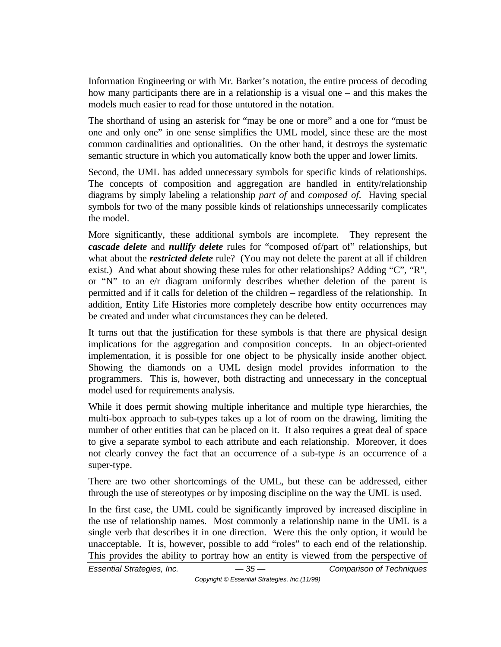Information Engineering or with Mr. Barker's notation, the entire process of decoding how many participants there are in a relationship is a visual one – and this makes the models much easier to read for those untutored in the notation.

The shorthand of using an asterisk for "may be one or more" and a one for "must be one and only one" in one sense simplifies the UML model, since these are the most common cardinalities and optionalities. On the other hand, it destroys the systematic semantic structure in which you automatically know both the upper and lower limits.

Second, the UML has added unnecessary symbols for specific kinds of relationships. The concepts of composition and aggregation are handled in entity/relationship diagrams by simply labeling a relationship *part of* and *composed of*. Having special symbols for two of the many possible kinds of relationships unnecessarily complicates the model.

More significantly, these additional symbols are incomplete. They represent the *cascade delete* and *nullify delete* rules for "composed of/part of" relationships, but what about the *restricted delete* rule? (You may not delete the parent at all if children exist.) And what about showing these rules for other relationships? Adding "C", "R", or "N" to an e/r diagram uniformly describes whether deletion of the parent is permitted and if it calls for deletion of the children – regardless of the relationship. In addition, Entity Life Histories more completely describe how entity occurrences may be created and under what circumstances they can be deleted.

It turns out that the justification for these symbols is that there are physical design implications for the aggregation and composition concepts. In an object-oriented implementation, it is possible for one object to be physically inside another object. Showing the diamonds on a UML design model provides information to the programmers. This is, however, both distracting and unnecessary in the conceptual model used for requirements analysis.

While it does permit showing multiple inheritance and multiple type hierarchies, the multi-box approach to sub-types takes up a lot of room on the drawing, limiting the number of other entities that can be placed on it. It also requires a great deal of space to give a separate symbol to each attribute and each relationship. Moreover, it does not clearly convey the fact that an occurrence of a sub-type *is* an occurrence of a super-type.

There are two other shortcomings of the UML, but these can be addressed, either through the use of stereotypes or by imposing discipline on the way the UML is used.

In the first case, the UML could be significantly improved by increased discipline in the use of relationship names. Most commonly a relationship name in the UML is a single verb that describes it in one direction. Were this the only option, it would be unacceptable. It is, however, possible to add "roles" to each end of the relationship. This provides the ability to portray how an entity is viewed from the perspective of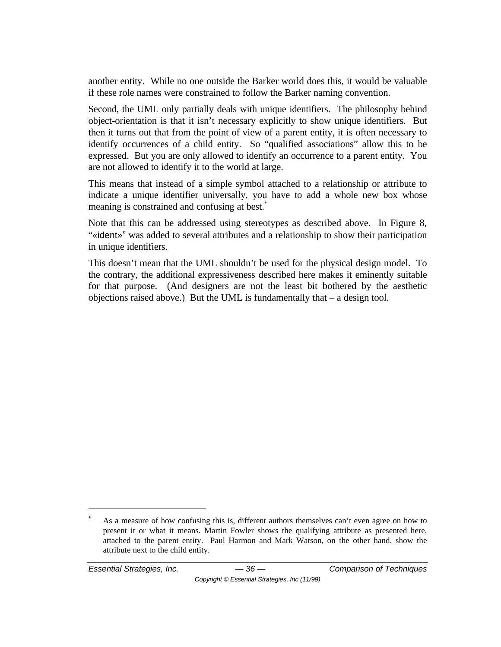another entity. While no one outside the Barker world does this, it would be valuable if these role names were constrained to follow the Barker naming convention.

Second, the UML only partially deals with unique identifiers. The philosophy behind object-orientation is that it isn't necessary explicitly to show unique identifiers. But then it turns out that from the point of view of a parent entity, it is often necessary to identify occurrences of a child entity. So "qualified associations" allow this to be expressed. But you are only allowed to identify an occurrence to a parent entity. You are not allowed to identify it to the world at large.

This means that instead of a simple symbol attached to a relationship or attribute to indicate a unique identifier universally, you have to add a whole new box whose meaning is constrained and confusing at best.<sup>\*</sup>

Note that this can be addressed using stereotypes as described above. In Figure 8, "«ident»" was added to several attributes and a relationship to show their participation in unique identifiers.

This doesn't mean that the UML shouldn't be used for the physical design model. To the contrary, the additional expressiveness described here makes it eminently suitable for that purpose. (And designers are not the least bit bothered by the aesthetic objections raised above.) But the UML is fundamentally that – a design tool.

-

As a measure of how confusing this is, different authors themselves can't even agree on how to present it or what it means. Martin Fowler shows the qualifying attribute as presented here, attached to the parent entity. Paul Harmon and Mark Watson, on the other hand, show the attribute next to the child entity.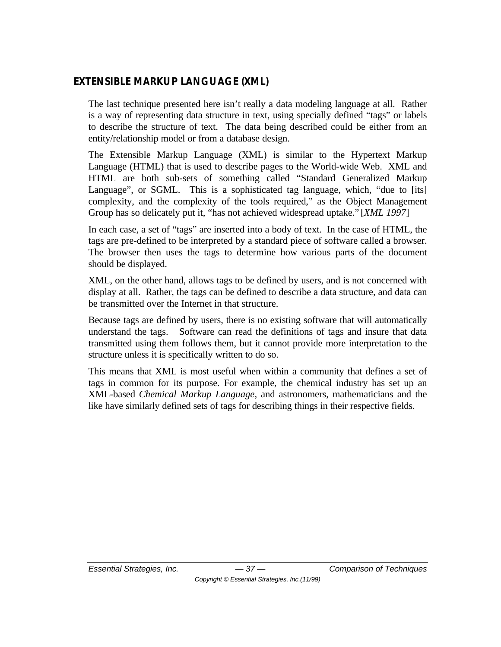## **EXTENSIBLE MARKUP LANGUAGE (XML)**

The last technique presented here isn't really a data modeling language at all. Rather is a way of representing data structure in text, using specially defined "tags" or labels to describe the structure of text. The data being described could be either from an entity/relationship model or from a database design.

The Extensible Markup Language (XML) is similar to the Hypertext Markup Language (HTML) that is used to describe pages to the World-wide Web. XML and HTML are both sub-sets of something called "Standard Generalized Markup Language", or SGML. This is a sophisticated tag language, which, "due to [its] complexity, and the complexity of the tools required," as the Object Management Group has so delicately put it, "has not achieved widespread uptake." [*XML 1997*]

In each case, a set of "tags" are inserted into a body of text. In the case of HTML, the tags are pre-defined to be interpreted by a standard piece of software called a browser. The browser then uses the tags to determine how various parts of the document should be displayed.

XML, on the other hand, allows tags to be defined by users, and is not concerned with display at all. Rather, the tags can be defined to describe a data structure, and data can be transmitted over the Internet in that structure.

Because tags are defined by users, there is no existing software that will automatically understand the tags. Software can read the definitions of tags and insure that data transmitted using them follows them, but it cannot provide more interpretation to the structure unless it is specifically written to do so.

This means that XML is most useful when within a community that defines a set of tags in common for its purpose. For example, the chemical industry has set up an XML-based *Chemical Markup Language*, and astronomers, mathematicians and the like have similarly defined sets of tags for describing things in their respective fields.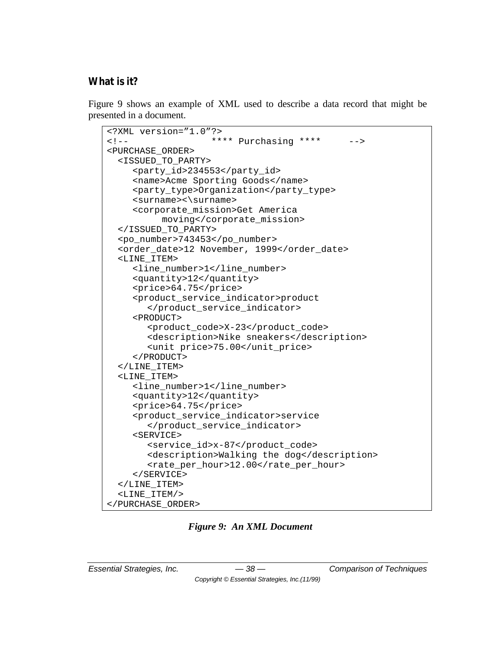## **What is it?**

Figure 9 shows an example of XML used to describe a data record that might be presented in a document.

```
<?XML version="1.0"?>
<!-- **** Purchasing **** -->
<PURCHASE_ORDER>
  <ISSUED_TO_PARTY>
    <party_id>234553</party_id>
    <name>Acme Sporting Goods</name>
    <party_type>Organization</party_type>
    <surname><\surname>
    <corporate_mission>Get America 
          moving</corporate_mission>
  </ISSUED_TO_PARTY>
  <po_number>743453</po_number>
  <order_date>12 November, 1999</order_date>
  <LINE_ITEM>
    <line_number>1</line_number>
    <quantity>12</quantity>
    <price>64.75</price>
    <product_service_indicator>product
       </product_service_indicator>
    <PRODUCT>
       <product_code>X-23</product_code>
       <description>Nike sneakers</description>
       <unit price>75.00</unit_price>
    </PRODUCT>
  </LINE_ITEM>
  <LINE_ITEM>
    <line_number>1</line_number>
    <quantity>12</quantity>
    <price>64.75</price>
    <product_service_indicator>service
       </product_service_indicator>
    <SERVICE>
       <service_id>x-87</product_code>
       <description>Walking the dog</description>
       <rate_per_hour>12.00</rate_per_hour>
    </SERVICE>
  </LINE_ITEM>
  <LINE_ITEM/>
</PURCHASE_ORDER>
```
*Figure 9: An XML Document*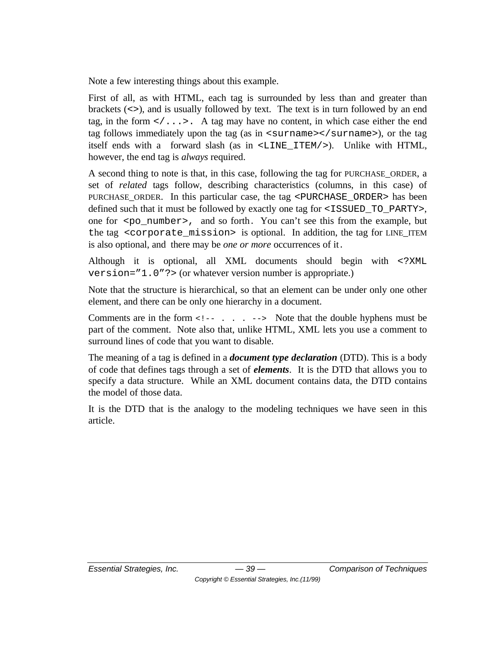Note a few interesting things about this example.

First of all, as with HTML, each tag is surrounded by less than and greater than brackets (<>), and is usually followed by text. The text is in turn followed by an end tag, in the form  $\langle \cdot, \cdot \rangle$ . A tag may have no content, in which case either the end tag follows immediately upon the tag (as in  $\leq$ surname $\geq$ /surname $\geq$ ), or the tag itself ends with a forward slash (as in <LINE\_ITEM/>). Unlike with HTML, however, the end tag is *always* required.

A second thing to note is that, in this case, following the tag for PURCHASE\_ORDER, a set of *related* tags follow, describing characteristics (columns, in this case) of PURCHASE\_ORDER. In this particular case, the tag <PURCHASE\_ORDER> has been defined such that it must be followed by exactly one tag for <ISSUED\_TO\_PARTY>, one for  $p_0$ -number, and so forth. You can't see this from the example, but the tag <corporate\_mission> is optional. In addition, the tag for LINE\_ITEM is also optional, and there may be *one or more* occurrences of it.

Although it is optional, all XML documents should begin with <?XML version="1.0"?> (or whatever version number is appropriate.)

Note that the structure is hierarchical, so that an element can be under only one other element, and there can be only one hierarchy in a document.

Comments are in the form  $\langle$  -- . . . --> Note that the double hyphens must be part of the comment. Note also that, unlike HTML, XML lets you use a comment to surround lines of code that you want to disable.

The meaning of a tag is defined in a *document type declaration* (DTD). This is a body of code that defines tags through a set of *elements*. It is the DTD that allows you to specify a data structure. While an XML document contains data, the DTD contains the model of those data.

It is the DTD that is the analogy to the modeling techniques we have seen in this article.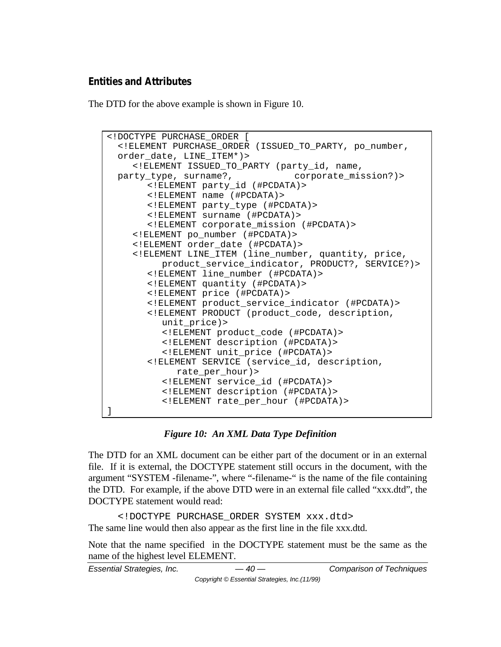#### **Entities and Attributes**

The DTD for the above example is shown in Figure 10.

```
<!DOCTYPE PURCHASE_ORDER [
 <!ELEMENT PURCHASE_ORDER (ISSUED_TO_PARTY, po_number,
 order_date, LINE_ITEM*)>
    <!ELEMENT ISSUED_TO_PARTY (party_id, name,
 party_type, surname?, corporate_mission?)>
       <!ELEMENT party_id (#PCDATA)>
       <!ELEMENT name (#PCDATA)>
       <!ELEMENT party_type (#PCDATA)>
       <!ELEMENT surname (#PCDATA)>
       <!ELEMENT corporate_mission (#PCDATA)>
    <!ELEMENT po_number (#PCDATA)>
    <!ELEMENT order_date (#PCDATA)>
    <!ELEMENT LINE_ITEM (line_number, quantity, price, 
         product_service_indicator, PRODUCT?, SERVICE?)>
       <!ELEMENT line_number (#PCDATA)>
       <!ELEMENT quantity (#PCDATA)>
       <!ELEMENT price (#PCDATA)>
       <!ELEMENT product_service_indicator (#PCDATA)>
       <!ELEMENT PRODUCT (product_code, description, 
          unit_price)>
         <!ELEMENT product_code (#PCDATA)>
         <!ELEMENT description (#PCDATA)>
         <!ELEMENT unit_price (#PCDATA)>
       <!ELEMENT SERVICE (service_id, description, 
            rate_per_hour)>
         <!ELEMENT service_id (#PCDATA)>
          <!ELEMENT description (#PCDATA)>
          <!ELEMENT rate_per_hour (#PCDATA)>
]
```
#### *Figure 10: An XML Data Type Definition*

The DTD for an XML document can be either part of the document or in an external file. If it is external, the DOCTYPE statement still occurs in the document, with the argument "SYSTEM -filename-", where "-filename-" is the name of the file containing the DTD. For example, if the above DTD were in an external file called "xxx.dtd", the DOCTYPE statement would read:

<!DOCTYPE PURCHASE\_ORDER SYSTEM xxx.dtd> The same line would then also appear as the first line in the file xxx.dtd.

Note that the name specified in the DOCTYPE statement must be the same as the name of the highest level ELEMENT.

```
Essential Strategies, Inc. — 40 — Comparison of Techniques
                       Copyright © Essential Strategies, Inc.(11/99)
```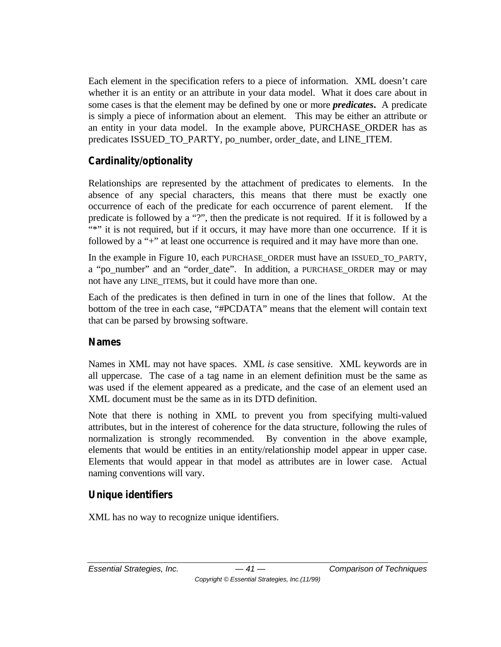Each element in the specification refers to a piece of information. XML doesn't care whether it is an entity or an attribute in your data model. What it does care about in some cases is that the element may be defined by one or more *predicates***.** A predicate is simply a piece of information about an element. This may be either an attribute or an entity in your data model. In the example above, PURCHASE\_ORDER has as predicates ISSUED\_TO\_PARTY, po\_number, order\_date, and LINE\_ITEM.

# **Cardinality/optionality**

Relationships are represented by the attachment of predicates to elements. In the absence of any special characters, this means that there must be exactly one occurrence of each of the predicate for each occurrence of parent element. If the predicate is followed by a "?", then the predicate is not required. If it is followed by a "\*" it is not required, but if it occurs, it may have more than one occurrence. If it is followed by a "+" at least one occurrence is required and it may have more than one.

In the example in Figure 10, each PURCHASE\_ORDER must have an ISSUED\_TO\_PARTY, a "po\_number" and an "order\_date". In addition, a PURCHASE\_ORDER may or may not have any LINE ITEMS, but it could have more than one.

Each of the predicates is then defined in turn in one of the lines that follow. At the bottom of the tree in each case, "#PCDATA" means that the element will contain text that can be parsed by browsing software.

## **Names**

Names in XML may not have spaces. XML *is* case sensitive. XML keywords are in all uppercase. The case of a tag name in an element definition must be the same as was used if the element appeared as a predicate, and the case of an element used an XML document must be the same as in its DTD definition.

Note that there is nothing in XML to prevent you from specifying multi-valued attributes, but in the interest of coherence for the data structure, following the rules of normalization is strongly recommended. By convention in the above example, elements that would be entities in an entity/relationship model appear in upper case. Elements that would appear in that model as attributes are in lower case. Actual naming conventions will vary.

## **Unique identifiers**

XML has no way to recognize unique identifiers.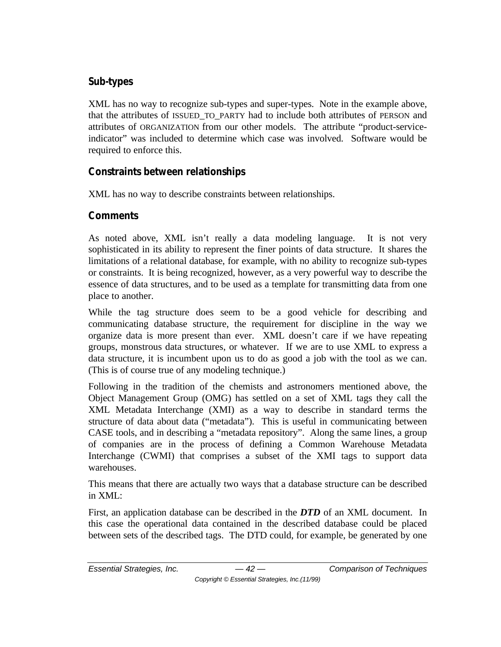### **Sub-types**

XML has no way to recognize sub-types and super-types. Note in the example above, that the attributes of ISSUED\_TO\_PARTY had to include both attributes of PERSON and attributes of ORGANIZATION from our other models. The attribute "product-serviceindicator" was included to determine which case was involved. Software would be required to enforce this.

## **Constraints between relationships**

XML has no way to describe constraints between relationships.

#### **Comments**

As noted above, XML isn't really a data modeling language. It is not very sophisticated in its ability to represent the finer points of data structure. It shares the limitations of a relational database, for example, with no ability to recognize sub-types or constraints. It is being recognized, however, as a very powerful way to describe the essence of data structures, and to be used as a template for transmitting data from one place to another.

While the tag structure does seem to be a good vehicle for describing and communicating database structure, the requirement for discipline in the way we organize data is more present than ever. XML doesn't care if we have repeating groups, monstrous data structures, or whatever. If we are to use XML to express a data structure, it is incumbent upon us to do as good a job with the tool as we can. (This is of course true of any modeling technique.)

Following in the tradition of the chemists and astronomers mentioned above, the Object Management Group (OMG) has settled on a set of XML tags they call the XML Metadata Interchange (XMI) as a way to describe in standard terms the structure of data about data ("metadata"). This is useful in communicating between CASE tools, and in describing a "metadata repository". Along the same lines, a group of companies are in the process of defining a Common Warehouse Metadata Interchange (CWMI) that comprises a subset of the XMI tags to support data warehouses.

This means that there are actually two ways that a database structure can be described in XML:

First, an application database can be described in the *DTD* of an XML document. In this case the operational data contained in the described database could be placed between sets of the described tags. The DTD could, for example, be generated by one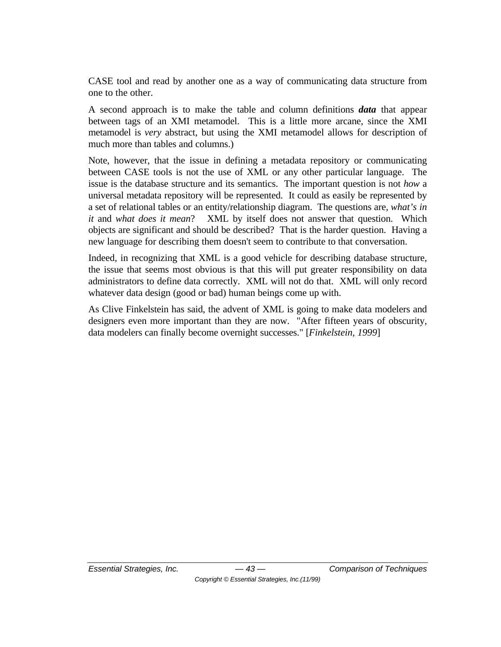CASE tool and read by another one as a way of communicating data structure from one to the other.

A second approach is to make the table and column definitions *data* that appear between tags of an XMI metamodel. This is a little more arcane, since the XMI metamodel is *very* abstract, but using the XMI metamodel allows for description of much more than tables and columns.)

Note, however, that the issue in defining a metadata repository or communicating between CASE tools is not the use of XML or any other particular language. The issue is the database structure and its semantics. The important question is not *how* a universal metadata repository will be represented. It could as easily be represented by a set of relational tables or an entity/relationship diagram. The questions are, *what's in it* and *what does it mean*? XML by itself does not answer that question. Which objects are significant and should be described? That is the harder question. Having a new language for describing them doesn't seem to contribute to that conversation.

Indeed, in recognizing that XML is a good vehicle for describing database structure, the issue that seems most obvious is that this will put greater responsibility on data administrators to define data correctly. XML will not do that. XML will only record whatever data design (good or bad) human beings come up with.

As Clive Finkelstein has said, the advent of XML is going to make data modelers and designers even more important than they are now. "After fifteen years of obscurity, data modelers can finally become overnight successes." [*Finkelstein, 1999*]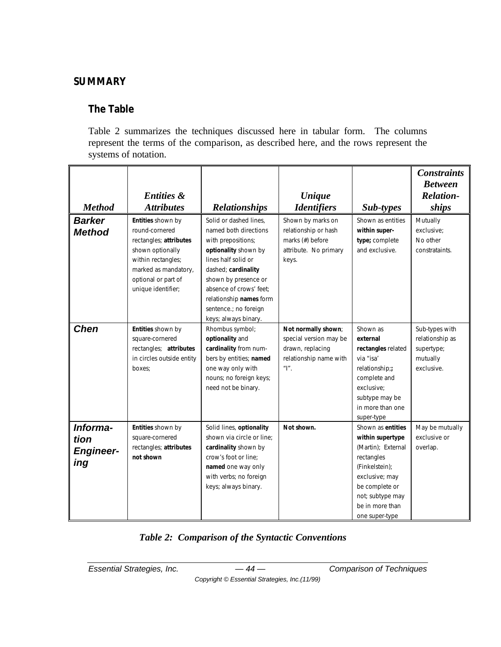## **SUMMARY**

## **The Table**

Table 2 summarizes the techniques discussed here in tabular form. The columns represent the terms of the comparison, as described here, and the rows represent the systems of notation.

| <b>Method</b>                               | <b>Entities &amp;</b><br><b>Attributes</b>                                                                                                                                   | <b>Relationships</b>                                                                                                                                                                                                                                                       | <b>Unique</b><br><b>Identifiers</b>                                                                        | Sub-types                                                                                                                                                                                | <b>Constraints</b><br><b>Between</b><br><b>Relation-</b><br>ships         |
|---------------------------------------------|------------------------------------------------------------------------------------------------------------------------------------------------------------------------------|----------------------------------------------------------------------------------------------------------------------------------------------------------------------------------------------------------------------------------------------------------------------------|------------------------------------------------------------------------------------------------------------|------------------------------------------------------------------------------------------------------------------------------------------------------------------------------------------|---------------------------------------------------------------------------|
| <b>Barker</b><br><b>Method</b>              | Entities shown by<br>round-cornered<br>rectangles; attributes<br>shown optionally<br>within rectangles;<br>marked as mandatory,<br>optional or part of<br>unique identifier; | Solid or dashed lines,<br>named both directions<br>with prepositions;<br>optionality shown by<br>lines half solid or<br>dashed; cardinality<br>shown by presence or<br>absence of crows' feet:<br>relationship names form<br>sentence.; no foreign<br>keys; always binary. | Shown by marks on<br>relationship or hash<br>marks (#) before<br>attribute. No primary<br>keys.            | Shown as entities<br>within super-<br>type; complete<br>and exclusive.                                                                                                                   | Mutually<br>exclusive;<br>No other<br>constrataints.                      |
| <b>Chen</b>                                 | Entities shown by<br>square-cornered<br>rectangles; attributes<br>in circles outside entity<br>boxes:                                                                        | Rhombus symbol;<br>optionality and<br>cardinality from num-<br>bers by entities; named<br>one way only with<br>nouns; no foreign keys;<br>need not be binary.                                                                                                              | Not normally shown;<br>special version may be<br>drawn, replacing<br>relationship name with<br>$\real^n$ , | Shown as<br>external<br>rectangles related<br>via "isa'<br>relationship;;<br>complete and<br>exclusive:<br>subtype may be<br>in more than one<br>super-type                              | Sub-types with<br>relationship as<br>supertype;<br>mutually<br>exclusive. |
| Informa-<br>tion<br><b>Engineer-</b><br>ing | Entities shown by<br>square-cornered<br>rectangles; attributes<br>not shown                                                                                                  | Solid lines, optionality<br>shown via circle or line;<br>cardinality shown by<br>crow's foot or line:<br>named one way only<br>with verbs; no foreign<br>keys; always binary.                                                                                              | Not shown.                                                                                                 | Shown as entities<br>within supertype<br>(Martin); External<br>rectangles<br>(Finkelstein);<br>exclusive; may<br>be complete or<br>not; subtype may<br>be in more than<br>one super-type | May be mutually<br>exclusive or<br>overlap.                               |

#### *Table 2: Comparison of the Syntactic Conventions*

*Copyright © Essential Strategies, Inc.(11/99)*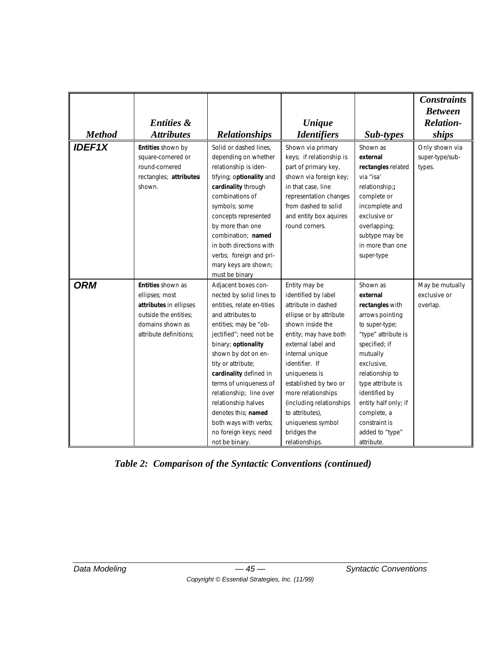|               |                         |                            |                             |                      | <b>Constraints</b> |
|---------------|-------------------------|----------------------------|-----------------------------|----------------------|--------------------|
|               |                         |                            |                             |                      | <b>Between</b>     |
|               | <b>Entities &amp;</b>   |                            | <b><i><u>Unique</u></i></b> |                      | <b>Relation-</b>   |
| <b>Method</b> | <b>Attributes</b>       | <b>Relationships</b>       | <b>Identifiers</b>          | Sub-types            | ships              |
|               |                         |                            |                             |                      |                    |
| <b>IDEF1X</b> | Entities shown by       | Solid or dashed lines,     | Shown via primary           | Shown as             | Only shown via     |
|               | square-cornered or      | depending on whether       | keys; if relationship is    | external             | super-type/sub-    |
|               | round-cornered          | relationship is iden-      | part of primary key,        | rectangles related   | types.             |
|               | rectangles; attributesi | tifying; optionality and   | shown via foreign key;      | via "isa'            |                    |
|               | shown.                  | cardinality through        | in that case, line          | relationship;;       |                    |
|               |                         | combinations of            | representation changes      | complete or          |                    |
|               |                         | symbols; some              | from dashed to solid        | incomplete and       |                    |
|               |                         | concepts represented       | and entity box aquires      | exclusive or         |                    |
|               |                         | by more than one           | round corners.              | overlapping;         |                    |
|               |                         | combination; named         |                             | subtype may be       |                    |
|               |                         | in both directions with    |                             | in more than one     |                    |
|               |                         | verbs; foreign and pri-    |                             | super-type           |                    |
|               |                         | mary keys are shown;       |                             |                      |                    |
|               |                         | must be binary             |                             |                      |                    |
| <b>ORM</b>    | Entities shown as       | Adjacent boxes con-        | Entity may be               | Shown as             | May be mutually    |
|               | ellipses; most          | nected by solid lines to   | identified by label         | external             | exclusive or       |
|               | attributes in ellipses  | entities, relate en-tities | attribute in dashed         | rectangles with      | overlap.           |
|               | outside the entities:   | and attributes to          | ellipse or by attribute     | arrows pointing      |                    |
|               | domains shown as        | entities; may be "ob-      | shown inside the            | to super-type;       |                    |
|               | attribute definitions:  | jectified"; need not be    | entity; may have both       | "type" attribute is  |                    |
|               |                         | binary; optionality        | external label and          | specified; if        |                    |
|               |                         | shown by dot on en-        | internal unique             | mutually             |                    |
|               |                         | tity or attribute;         | identifier. If              | exclusive,           |                    |
|               |                         | cardinality defined in     | uniqueness is               | relationship to      |                    |
|               |                         | terms of uniqueness of     | established by two or       | type attribute is    |                    |
|               |                         | relationship; line over    | more relationships          | identified by        |                    |
|               |                         | relationship halves        | (including relationships    | entity half only; if |                    |
|               |                         | denotes this; named        | to attributes),             | complete, a          |                    |
|               |                         | both ways with verbs;      | uniqueness symbol           | constraint is        |                    |
|               |                         | no foreign keys; need      | bridges the                 | added to "type"      |                    |
|               |                         | not be binary.             | relationships.              | attribute.           |                    |

*Table 2: Comparison of the Syntactic Conventions (continued)*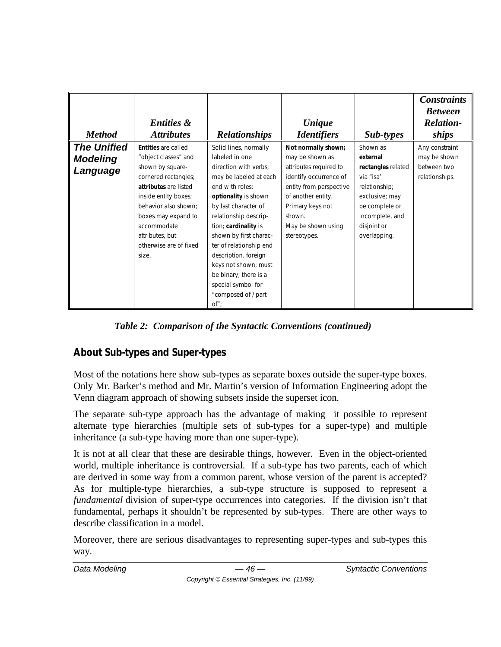| <b>Method</b>                                     | <b>Entities &amp;</b><br><b>Attributes</b>                                                                                                                                                                                                                          | <b>Relationships</b>                                                                                                                                                                                                                                                                                                                                                                             | <b><i><u>Unique</u></i></b><br><i><u><b>Identifiers</b></u></i>                                                                                                                                                 | Sub-types                                                                                                                                                      | <b>Constraints</b><br><b>Between</b><br><b>Relation-</b><br>ships |
|---------------------------------------------------|---------------------------------------------------------------------------------------------------------------------------------------------------------------------------------------------------------------------------------------------------------------------|--------------------------------------------------------------------------------------------------------------------------------------------------------------------------------------------------------------------------------------------------------------------------------------------------------------------------------------------------------------------------------------------------|-----------------------------------------------------------------------------------------------------------------------------------------------------------------------------------------------------------------|----------------------------------------------------------------------------------------------------------------------------------------------------------------|-------------------------------------------------------------------|
| <b>The Unified</b><br><b>Modeling</b><br>Language | <b>Entities</b> are called<br>"object classes" and<br>shown by square-<br>cornered rectangles;<br>attributes are listed<br>inside entity boxes;<br>behavior also shown:<br>boxes may expand to<br>accommodate<br>attributes, but<br>otherwise are of fixed<br>size. | Solid lines, normally<br>labeled in one<br>direction with verbs;<br>may be labeled at each<br>end with roles:<br>optionality is shown<br>by last character of<br>relationship descrip-<br>tion; cardinality is<br>shown by first charac-<br>ter of relationship end<br>description. foreign<br>keys not shown; must<br>be binary; there is a<br>special symbol for<br>"composed of / part<br>of" | Not normally shown;<br>may be shown as<br>attributes required to<br>identify occurrence of<br>entity from perspective<br>of another entity.<br>Primary keys not<br>shown.<br>May be shown using<br>stereotypes. | Shown as<br>external<br>rectangles related<br>via "isa'<br>relationship;<br>exclusive; may<br>be complete or<br>incomplete, and<br>disjoint or<br>overlapping. | Any constraint<br>may be shown<br>between two<br>relationships.   |

*Table 2: Comparison of the Syntactic Conventions (continued)*

# **About Sub-types and Super-types**

Most of the notations here show sub-types as separate boxes outside the super-type boxes. Only Mr. Barker's method and Mr. Martin's version of Information Engineering adopt the Venn diagram approach of showing subsets inside the superset icon.

The separate sub-type approach has the advantage of making it possible to represent alternate type hierarchies (multiple sets of sub-types for a super-type) and multiple inheritance (a sub-type having more than one super-type).

It is not at all clear that these are desirable things, however. Even in the object-oriented world, multiple inheritance is controversial. If a sub-type has two parents, each of which are derived in some way from a common parent, whose version of the parent is accepted? As for multiple-type hierarchies, a sub-type structure is supposed to represent a *fundamental* division of super-type occurrences into categories. If the division isn't that fundamental, perhaps it shouldn't be represented by sub-types. There are other ways to describe classification in a model.

Moreover, there are serious disadvantages to representing super-types and sub-types this way.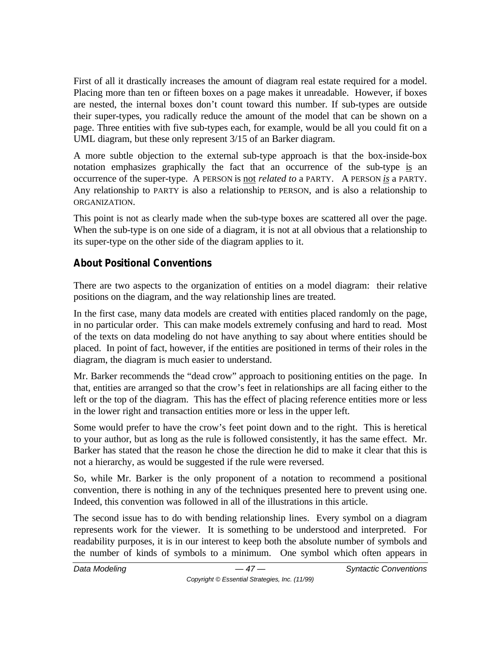First of all it drastically increases the amount of diagram real estate required for a model. Placing more than ten or fifteen boxes on a page makes it unreadable. However, if boxes are nested, the internal boxes don't count toward this number. If sub-types are outside their super-types, you radically reduce the amount of the model that can be shown on a page. Three entities with five sub-types each, for example, would be all you could fit on a UML diagram, but these only represent 3/15 of an Barker diagram.

A more subtle objection to the external sub-type approach is that the box-inside-box notation emphasizes graphically the fact that an occurrence of the sub-type is an occurrence of the super-type. A PERSON is not *related to* a PARTY. A PERSON *is* a PARTY. Any relationship to PARTY is also a relationship to PERSON, and is also a relationship to ORGANIZATION.

This point is not as clearly made when the sub-type boxes are scattered all over the page. When the sub-type is on one side of a diagram, it is not at all obvious that a relationship to its super-type on the other side of the diagram applies to it.

## **About Positional Conventions**

There are two aspects to the organization of entities on a model diagram: their relative positions on the diagram, and the way relationship lines are treated.

In the first case, many data models are created with entities placed randomly on the page, in no particular order. This can make models extremely confusing and hard to read. Most of the texts on data modeling do not have anything to say about where entities should be placed. In point of fact, however, if the entities are positioned in terms of their roles in the diagram, the diagram is much easier to understand.

Mr. Barker recommends the "dead crow" approach to positioning entities on the page. In that, entities are arranged so that the crow's feet in relationships are all facing either to the left or the top of the diagram. This has the effect of placing reference entities more or less in the lower right and transaction entities more or less in the upper left.

Some would prefer to have the crow's feet point down and to the right. This is heretical to your author, but as long as the rule is followed consistently, it has the same effect. Mr. Barker has stated that the reason he chose the direction he did to make it clear that this is not a hierarchy, as would be suggested if the rule were reversed.

So, while Mr. Barker is the only proponent of a notation to recommend a positional convention, there is nothing in any of the techniques presented here to prevent using one. Indeed, this convention was followed in all of the illustrations in this article.

The second issue has to do with bending relationship lines. Every symbol on a diagram represents work for the viewer. It is something to be understood and interpreted. For readability purposes, it is in our interest to keep both the absolute number of symbols and the number of kinds of symbols to a minimum. One symbol which often appears in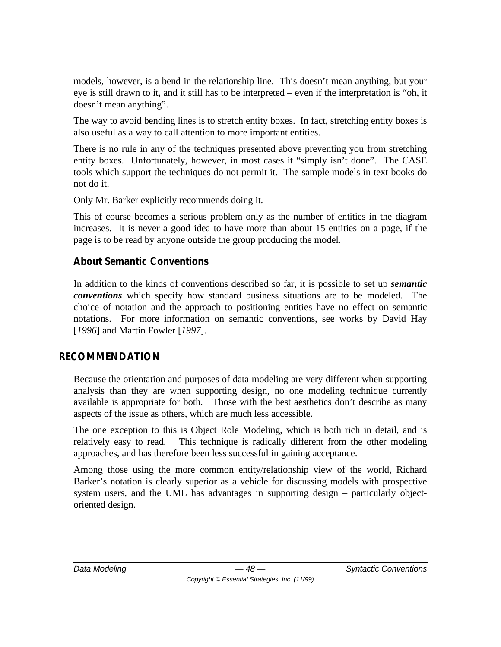models, however, is a bend in the relationship line. This doesn't mean anything, but your eye is still drawn to it, and it still has to be interpreted – even if the interpretation is "oh, it doesn't mean anything".

The way to avoid bending lines is to stretch entity boxes. In fact, stretching entity boxes is also useful as a way to call attention to more important entities.

There is no rule in any of the techniques presented above preventing you from stretching entity boxes. Unfortunately, however, in most cases it "simply isn't done". The CASE tools which support the techniques do not permit it. The sample models in text books do not do it.

Only Mr. Barker explicitly recommends doing it.

This of course becomes a serious problem only as the number of entities in the diagram increases. It is never a good idea to have more than about 15 entities on a page, if the page is to be read by anyone outside the group producing the model.

## **About Semantic Conventions**

In addition to the kinds of conventions described so far, it is possible to set up *semantic conventions* which specify how standard business situations are to be modeled. The choice of notation and the approach to positioning entities have no effect on semantic notations. For more information on semantic conventions, see works by David Hay [*1996*] and Martin Fowler [*1997*].

## **RECOMMENDATION**

Because the orientation and purposes of data modeling are very different when supporting analysis than they are when supporting design, no one modeling technique currently available is appropriate for both. Those with the best aesthetics don't describe as many aspects of the issue as others, which are much less accessible.

The one exception to this is Object Role Modeling, which is both rich in detail, and is relatively easy to read. This technique is radically different from the other modeling approaches, and has therefore been less successful in gaining acceptance.

Among those using the more common entity/relationship view of the world, Richard Barker's notation is clearly superior as a vehicle for discussing models with prospective system users, and the UML has advantages in supporting design – particularly objectoriented design.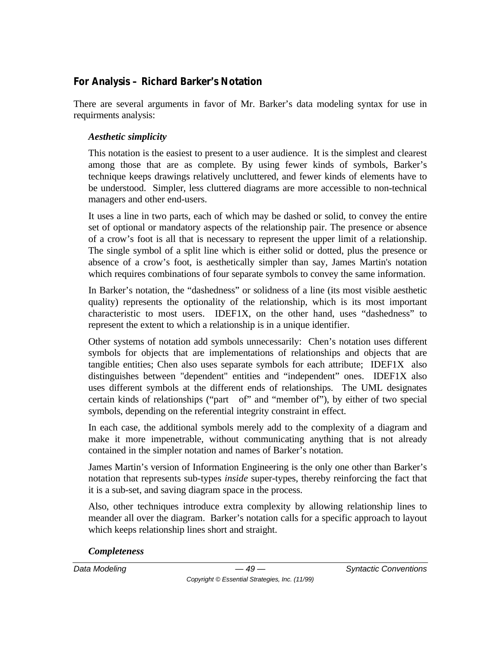## **For Analysis – Richard Barker's Notation**

There are several arguments in favor of Mr. Barker's data modeling syntax for use in requirments analysis:

#### *Aesthetic simplicity*

This notation is the easiest to present to a user audience. It is the simplest and clearest among those that are as complete. By using fewer kinds of symbols, Barker's technique keeps drawings relatively uncluttered, and fewer kinds of elements have to be understood. Simpler, less cluttered diagrams are more accessible to non-technical managers and other end-users.

It uses a line in two parts, each of which may be dashed or solid, to convey the entire set of optional or mandatory aspects of the relationship pair. The presence or absence of a crow's foot is all that is necessary to represent the upper limit of a relationship. The single symbol of a split line which is either solid or dotted, plus the presence or absence of a crow's foot, is aesthetically simpler than say, James Martin's notation which requires combinations of four separate symbols to convey the same information.

In Barker's notation, the "dashedness" or solidness of a line (its most visible aesthetic quality) represents the optionality of the relationship, which is its most important characteristic to most users. IDEF1X, on the other hand, uses "dashedness" to represent the extent to which a relationship is in a unique identifier.

Other systems of notation add symbols unnecessarily: Chen's notation uses different symbols for objects that are implementations of relationships and objects that are tangible entities; Chen also uses separate symbols for each attribute; IDEF1X also distinguishes between "dependent" entities and "independent" ones. IDEF1X also uses different symbols at the different ends of relationships. The UML designates certain kinds of relationships ("part of" and "member of"), by either of two special symbols, depending on the referential integrity constraint in effect.

In each case, the additional symbols merely add to the complexity of a diagram and make it more impenetrable, without communicating anything that is not already contained in the simpler notation and names of Barker's notation.

James Martin's version of Information Engineering is the only one other than Barker's notation that represents sub-types *inside* super-types, thereby reinforcing the fact that it is a sub-set, and saving diagram space in the process.

Also, other techniques introduce extra complexity by allowing relationship lines to meander all over the diagram. Barker's notation calls for a specific approach to layout which keeps relationship lines short and straight.

#### *Completeness*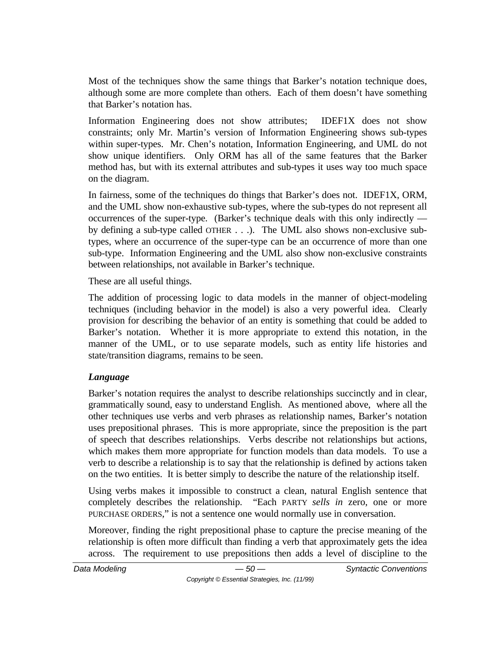Most of the techniques show the same things that Barker's notation technique does, although some are more complete than others. Each of them doesn't have something that Barker's notation has.

Information Engineering does not show attributes; IDEF1X does not show constraints; only Mr. Martin's version of Information Engineering shows sub-types within super-types. Mr. Chen's notation, Information Engineering, and UML do not show unique identifiers. Only ORM has all of the same features that the Barker method has, but with its external attributes and sub-types it uses way too much space on the diagram.

In fairness, some of the techniques do things that Barker's does not. IDEF1X, ORM, and the UML show non-exhaustive sub-types, where the sub-types do not represent all occurrences of the super-type. (Barker's technique deals with this only indirectly by defining a sub-type called OTHER . . .). The UML also shows non-exclusive subtypes, where an occurrence of the super-type can be an occurrence of more than one sub-type. Information Engineering and the UML also show non-exclusive constraints between relationships, not available in Barker's technique.

These are all useful things.

The addition of processing logic to data models in the manner of object-modeling techniques (including behavior in the model) is also a very powerful idea. Clearly provision for describing the behavior of an entity is something that could be added to Barker's notation. Whether it is more appropriate to extend this notation, in the manner of the UML, or to use separate models, such as entity life histories and state/transition diagrams, remains to be seen.

## *Language*

Barker's notation requires the analyst to describe relationships succinctly and in clear, grammatically sound, easy to understand English. As mentioned above, where all the other techniques use verbs and verb phrases as relationship names, Barker's notation uses prepositional phrases. This is more appropriate, since the preposition is the part of speech that describes relationships. Verbs describe not relationships but actions, which makes them more appropriate for function models than data models. To use a verb to describe a relationship is to say that the relationship is defined by actions taken on the two entities. It is better simply to describe the nature of the relationship itself.

Using verbs makes it impossible to construct a clean, natural English sentence that completely describes the relationship. "Each PARTY *sells in* zero, one or more PURCHASE ORDERS," is not a sentence one would normally use in conversation.

Moreover, finding the right prepositional phase to capture the precise meaning of the relationship is often more difficult than finding a verb that approximately gets the idea across. The requirement to use prepositions then adds a level of discipline to the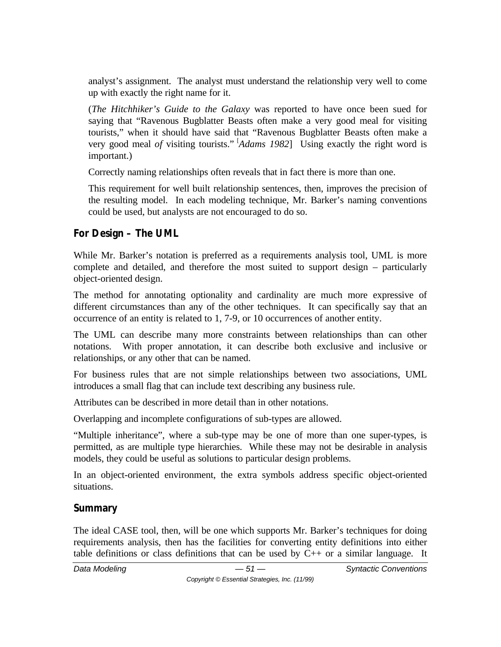analyst's assignment. The analyst must understand the relationship very well to come up with exactly the right name for it.

(*The Hitchhiker's Guide to the Galaxy* was reported to have once been sued for saying that "Ravenous Bugblatter Beasts often make a very good meal for visiting tourists," when it should have said that "Ravenous Bugblatter Beasts often make a very good meal *of* visiting tourists." [*Adams 1982*] Using exactly the right word is important.)

Correctly naming relationships often reveals that in fact there is more than one.

This requirement for well built relationship sentences, then, improves the precision of the resulting model. In each modeling technique, Mr. Barker's naming conventions could be used, but analysts are not encouraged to do so.

## **For Design – The UML**

While Mr. Barker's notation is preferred as a requirements analysis tool, UML is more complete and detailed, and therefore the most suited to support design – particularly object-oriented design.

The method for annotating optionality and cardinality are much more expressive of different circumstances than any of the other techniques. It can specifically say that an occurrence of an entity is related to 1, 7-9, or 10 occurrences of another entity.

The UML can describe many more constraints between relationships than can other notations. With proper annotation, it can describe both exclusive and inclusive or relationships, or any other that can be named.

For business rules that are not simple relationships between two associations, UML introduces a small flag that can include text describing any business rule.

Attributes can be described in more detail than in other notations.

Overlapping and incomplete configurations of sub-types are allowed.

"Multiple inheritance", where a sub-type may be one of more than one super-types, is permitted, as are multiple type hierarchies. While these may not be desirable in analysis models, they could be useful as solutions to particular design problems.

In an object-oriented environment, the extra symbols address specific object-oriented situations.

# **Summary**

The ideal CASE tool, then, will be one which supports Mr. Barker's techniques for doing requirements analysis, then has the facilities for converting entity definitions into either table definitions or class definitions that can be used by  $C_{++}$  or a similar language. It